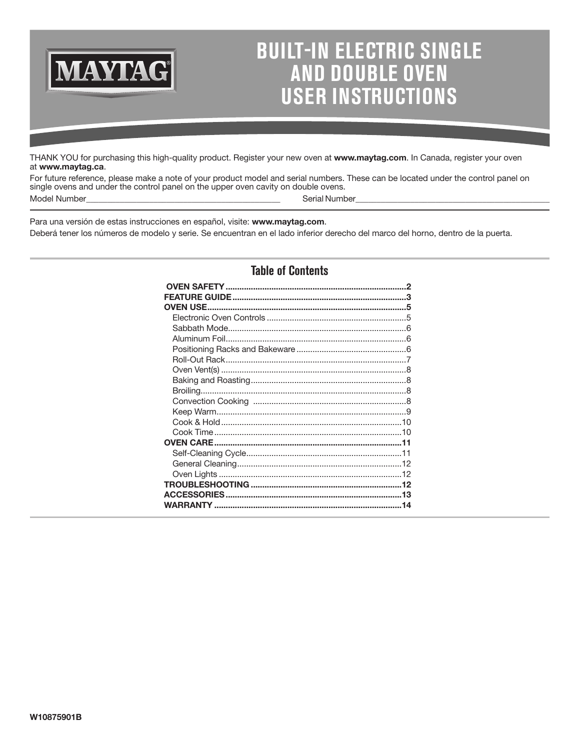

# **BUILT-IN ELECTRIC SINGLE AND DOUBLE OVEN USER INSTRUCTIONS**

THANK YOU for purchasing this high-quality product. Register your new oven at **www.maytag.com**. In Canada, register your oven at **www.maytag.ca**.

For future reference, please make a note of your product model and serial numbers. These can be located under the control panel on single ovens and under the control panel on the upper oven cavity on double ovens. Model Number\_\_\_\_\_\_\_\_\_\_\_\_\_\_\_\_\_\_\_\_\_\_\_\_\_\_\_\_\_\_\_\_\_\_\_\_\_\_\_\_\_\_\_\_\_\_ Serial Number\_\_\_\_\_\_\_\_\_\_\_\_\_\_\_\_\_\_\_\_\_\_\_\_\_\_\_\_\_\_\_\_\_\_\_\_\_\_\_\_\_\_\_\_\_\_

Para una versión de estas instrucciones en español, visite: **www.maytag.com**.

Deberá tener los números de modelo y serie. Se encuentran en el lado inferior derecho del marco del horno, dentro de la puerta.

# **Table of Contents**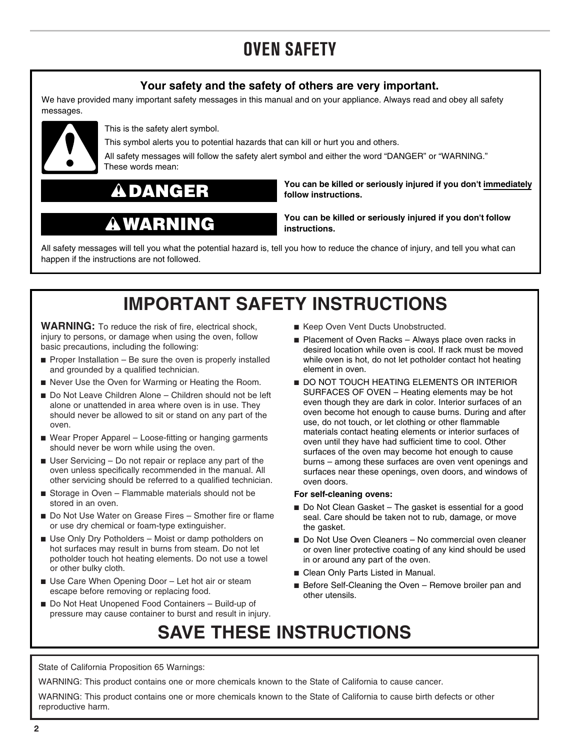# **OVEN SAFETY**

# **Your safety and the safety of others are very important.**

<span id="page-1-0"></span>We have provided many important safety messages in this manual and on your appliance. Always read and obey all safety messages.



This is the safety alert symbol.

This symbol alerts you to potential hazards that can kill or hurt you and others.

All safety messages will follow the safety alert symbol and either the word "DANGER" or "WARNING." These words mean:



# WARNING

**You can be killed or seriously injured if you don't immediately follow instructions.**

**You can be killed or seriously injured if you don't follow instructions.**

All safety messages will tell you what the potential hazard is, tell you how to reduce the chance of injury, and tell you what can happen if the instructions are not followed.

# **IMPORTANT SAFETY INSTRUCTIONS**

**WARNING:** To reduce the risk of fire, electrical shock, injury to persons, or damage when using the oven, follow basic precautions, including the following:

- $\blacksquare$  Proper Installation Be sure the oven is properly installed and grounded by a qualified technician.
- Never Use the Oven for Warming or Heating the Room.
- Do Not Leave Children Alone Children should not be left alone or unattended in area where oven is in use. They should never be allowed to sit or stand on any part of the oven.
- Wear Proper Apparel Loose-fitting or hanging garments should never be worn while using the oven.
- User Servicing Do not repair or replace any part of the oven unless specifically recommended in the manual. All other servicing should be referred to a qualified technician.
- Storage in Oven Flammable materials should not be stored in an oven.
- Do Not Use Water on Grease Fires Smother fire or flame or use dry chemical or foam-type extinguisher.
- Use Only Dry Potholders Moist or damp potholders on hot surfaces may result in burns from steam. Do not let potholder touch hot heating elements. Do not use a towel or other bulky cloth.
- Use Care When Opening Door Let hot air or steam escape before removing or replacing food.
- Do Not Heat Unopened Food Containers Build-up of pressure may cause container to burst and result in injury.
- Keep Oven Vent Ducts Unobstructed.
- Placement of Oven Racks Always place oven racks in desired location while oven is cool. If rack must be moved while oven is hot, do not let potholder contact hot heating element in oven.
- DO NOT TOUCH HEATING ELEMENTS OR INTERIOR SURFACES OF OVEN – Heating elements may be hot even though they are dark in color. Interior surfaces of an oven become hot enough to cause burns. During and after use, do not touch, or let clothing or other flammable materials contact heating elements or interior surfaces of oven until they have had sufficient time to cool. Other surfaces of the oven may become hot enough to cause burns – among these surfaces are oven vent openings and surfaces near these openings, oven doors, and windows of oven doors.

#### **For self-cleaning ovens:**

- Do Not Clean Gasket The gasket is essential for a good seal. Care should be taken not to rub, damage, or move the gasket.
- Do Not Use Oven Cleaners No commercial oven cleaner or oven liner protective coating of any kind should be used in or around any part of the oven.
- Clean Only Parts Listed in Manual.
- Before Self-Cleaning the Oven Remove broiler pan and other utensils.

# **SAVE THESE INSTRUCTIONS**

State of California Proposition 65 Warnings:

WARNING: This product contains one or more chemicals known to the State of California to cause cancer.

WARNING: This product contains one or more chemicals known to the State of California to cause birth defects or other reproductive harm.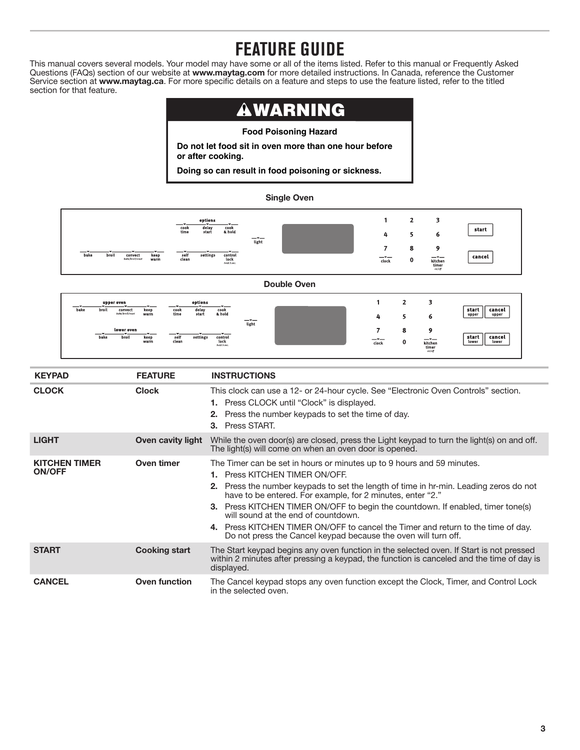# **FEATURE GUIDE**

<span id="page-2-0"></span>This manual covers several models. Your model may have some or all of the items listed. Refer to this manual or Frequently Asked Questions (FAQs) section of our website at **www.maytag.com** for more detailed instructions. In Canada, reference the Customer Service section at **www.maytag.ca**. For more specific details on a feature and steps to use the feature listed, refer to the titled section for that feature.

#### WARNING  $\blacktriangle$

**Food Poisoning Hazard**

**Do not let food sit in oven more than one hour before or after cooking.**

**Doing so can result in food poisoning or sickness.**

## **Single Oven**



**Double Oven**

| —<br>bake<br>broil | upper oven<br>convect<br>bake/broil/roast | - <del>-</del><br>keep<br>warm    | cook<br>time       | options<br>delay<br>start | $-1$<br>cook<br>& hold                        | $-1$<br>light | 4             | <b>.</b> | ь                                                               | start<br>cancel<br>upper<br>upper |
|--------------------|-------------------------------------------|-----------------------------------|--------------------|---------------------------|-----------------------------------------------|---------------|---------------|----------|-----------------------------------------------------------------|-----------------------------------|
| $-1$<br>bake       | lower oven<br>broil                       | — <del>v</del> ——<br>keep<br>warm | _<br>self<br>clean | settings                  | -*--<br>control<br><b>lock</b><br>hold 3 sec. |               | $ -$<br>clock | 8<br>0   | ۰<br>$-1$<br>kitchen<br>$\displaystyle \liminf_{\text{on/off}}$ | start<br>cancel<br>lower<br>lower |

| <b>KEYPAD</b>                         | <b>FEATURE</b>           | <b>INSTRUCTIONS</b>                                                                                                                                                                                                                                                                                                                                                                                                                                                                                                                                           |
|---------------------------------------|--------------------------|---------------------------------------------------------------------------------------------------------------------------------------------------------------------------------------------------------------------------------------------------------------------------------------------------------------------------------------------------------------------------------------------------------------------------------------------------------------------------------------------------------------------------------------------------------------|
| <b>CLOCK</b>                          | <b>Clock</b>             | This clock can use a 12- or 24-hour cycle. See "Electronic Oven Controls" section.<br><b>1.</b> Press CLOCK until "Clock" is displayed.<br><b>2.</b> Press the number keypads to set the time of day.<br>3. Press START.                                                                                                                                                                                                                                                                                                                                      |
| <b>LIGHT</b>                          | <b>Oven cavity light</b> | While the oven door(s) are closed, press the Light keypad to turn the light(s) on and off.<br>The light(s) will come on when an oven door is opened.                                                                                                                                                                                                                                                                                                                                                                                                          |
| <b>KITCHEN TIMER</b><br><b>ON/OFF</b> | Oven timer               | The Timer can be set in hours or minutes up to 9 hours and 59 minutes.<br>1. Press KITCHEN TIMER ON/OFF.<br><b>2.</b> Press the number keypads to set the length of time in hr-min. Leading zeros do not<br>have to be entered. For example, for 2 minutes, enter "2."<br><b>3.</b> Press KITCHEN TIMER ON/OFF to begin the countdown. If enabled, timer tone(s)<br>will sound at the end of countdown.<br>4. Press KITCHEN TIMER ON/OFF to cancel the Timer and return to the time of day.<br>Do not press the Cancel keypad because the oven will turn off. |
| <b>START</b>                          | <b>Cooking start</b>     | The Start keypad begins any oven function in the selected oven. If Start is not pressed<br>within 2 minutes after pressing a keypad, the function is canceled and the time of day is<br>displayed.                                                                                                                                                                                                                                                                                                                                                            |
| <b>CANCEL</b>                         | <b>Oven function</b>     | The Cancel keypad stops any oven function except the Clock, Timer, and Control Lock<br>in the selected oven.                                                                                                                                                                                                                                                                                                                                                                                                                                                  |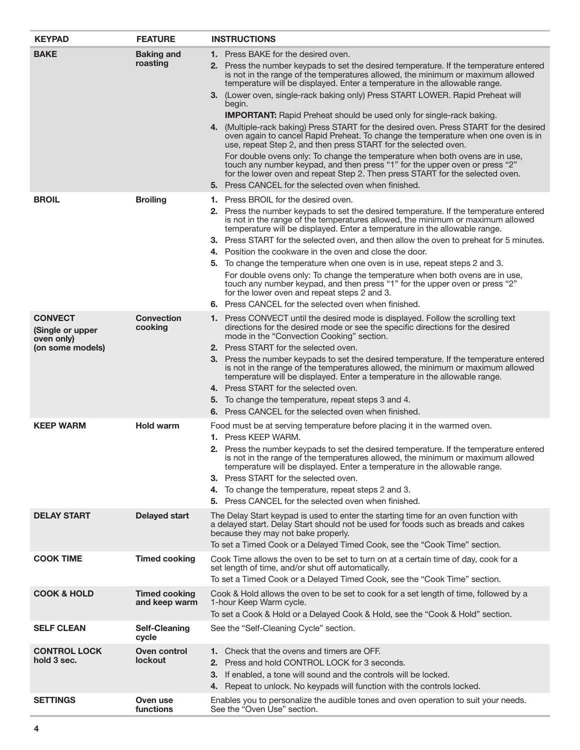| <b>KEYPAD</b>                                                        | <b>FEATURE</b>                        | <b>INSTRUCTIONS</b>                                                                                                                                                                                                                                                                                                                                                                                                                                                                                                                                                                                                                                                                                                                                                                                                                                                                                                                                                                                                                         |
|----------------------------------------------------------------------|---------------------------------------|---------------------------------------------------------------------------------------------------------------------------------------------------------------------------------------------------------------------------------------------------------------------------------------------------------------------------------------------------------------------------------------------------------------------------------------------------------------------------------------------------------------------------------------------------------------------------------------------------------------------------------------------------------------------------------------------------------------------------------------------------------------------------------------------------------------------------------------------------------------------------------------------------------------------------------------------------------------------------------------------------------------------------------------------|
| <b>BAKE</b>                                                          | <b>Baking and</b><br>roasting         | <b>1.</b> Press BAKE for the desired oven.<br>2. Press the number keypads to set the desired temperature. If the temperature entered<br>is not in the range of the temperatures allowed, the minimum or maximum allowed<br>temperature will be displayed. Enter a temperature in the allowable range.<br>3. (Lower oven, single-rack baking only) Press START LOWER. Rapid Preheat will<br>begin.<br><b>IMPORTANT:</b> Rapid Preheat should be used only for single-rack baking.<br>4. (Multiple-rack baking) Press START for the desired oven. Press START for the desired<br>oven again to cancel Rapid Preheat. To change the temperature when one oven is in<br>use, repeat Step 2, and then press START for the selected oven.<br>For double ovens only: To change the temperature when both ovens are in use,<br>touch any number keypad, and then press "1" for the upper oven or press "2"<br>for the lower oven and repeat Step 2. Then press START for the selected oven.<br>5. Press CANCEL for the selected oven when finished. |
| <b>BROIL</b>                                                         | <b>Broiling</b>                       | <b>1.</b> Press BROIL for the desired oven.<br>2. Press the number keypads to set the desired temperature. If the temperature entered<br>is not in the range of the temperatures allowed, the minimum or maximum allowed<br>temperature will be displayed. Enter a temperature in the allowable range.<br>3. Press START for the selected oven, and then allow the oven to preheat for 5 minutes.<br>4. Position the cookware in the oven and close the door.<br>5. To change the temperature when one oven is in use, repeat steps 2 and 3.<br>For double ovens only: To change the temperature when both ovens are in use,<br>touch any number keypad, and then press "1" for the upper oven or press "2"<br>for the lower oven and repeat steps 2 and 3.<br>6. Press CANCEL for the selected oven when finished.                                                                                                                                                                                                                         |
| <b>CONVECT</b><br>(Single or upper<br>oven only)<br>(on some models) | <b>Convection</b><br>cooking          | 1. Press CONVECT until the desired mode is displayed. Follow the scrolling text<br>directions for the desired mode or see the specific directions for the desired<br>mode in the "Convection Cooking" section.<br>2. Press START for the selected oven.<br>3. Press the number keypads to set the desired temperature. If the temperature entered<br>is not in the range of the temperatures allowed, the minimum or maximum allowed<br>temperature will be displayed. Enter a temperature in the allowable range.<br>4. Press START for the selected oven.<br>5. To change the temperature, repeat steps 3 and 4.<br>6. Press CANCEL for the selected oven when finished.                                                                                                                                                                                                                                                                                                                                                                  |
| <b>KEEP WARM</b>                                                     | <b>Hold warm</b>                      | Food must be at serving temperature before placing it in the warmed oven.<br><b>1.</b> Press KEEP WARM.<br>2. Press the number keypads to set the desired temperature. If the temperature entered<br>is not in the range of the temperatures allowed, the minimum or maximum allowed<br>temperature will be displayed. Enter a temperature in the allowable range.<br>3. Press START for the selected oven.<br>4. To change the temperature, repeat steps 2 and 3.<br>5. Press CANCEL for the selected oven when finished.                                                                                                                                                                                                                                                                                                                                                                                                                                                                                                                  |
| <b>DELAY START</b>                                                   | <b>Delayed start</b>                  | The Delay Start keypad is used to enter the starting time for an oven function with<br>a delayed start. Delay Start should not be used for foods such as breads and cakes<br>because they may not bake properly.<br>To set a Timed Cook or a Delayed Timed Cook, see the "Cook Time" section.                                                                                                                                                                                                                                                                                                                                                                                                                                                                                                                                                                                                                                                                                                                                               |
| <b>COOK TIME</b>                                                     | <b>Timed cooking</b>                  | Cook Time allows the oven to be set to turn on at a certain time of day, cook for a<br>set length of time, and/or shut off automatically.<br>To set a Timed Cook or a Delayed Timed Cook, see the "Cook Time" section.                                                                                                                                                                                                                                                                                                                                                                                                                                                                                                                                                                                                                                                                                                                                                                                                                      |
| <b>COOK &amp; HOLD</b>                                               | <b>Timed cooking</b><br>and keep warm | Cook & Hold allows the oven to be set to cook for a set length of time, followed by a<br>1-hour Keep Warm cycle.<br>To set a Cook & Hold or a Delayed Cook & Hold, see the "Cook & Hold" section.                                                                                                                                                                                                                                                                                                                                                                                                                                                                                                                                                                                                                                                                                                                                                                                                                                           |
| <b>SELF CLEAN</b>                                                    | <b>Self-Cleaning</b><br>cycle         | See the "Self-Cleaning Cycle" section.                                                                                                                                                                                                                                                                                                                                                                                                                                                                                                                                                                                                                                                                                                                                                                                                                                                                                                                                                                                                      |
| <b>CONTROL LOCK</b><br>hold 3 sec.                                   | Oven control<br><b>lockout</b>        | 1. Check that the ovens and timers are OFF.<br>2. Press and hold CONTROL LOCK for 3 seconds.<br>3. If enabled, a tone will sound and the controls will be locked.<br>4. Repeat to unlock. No keypads will function with the controls locked.                                                                                                                                                                                                                                                                                                                                                                                                                                                                                                                                                                                                                                                                                                                                                                                                |
| <b>SETTINGS</b>                                                      | Oven use<br>functions                 | Enables you to personalize the audible tones and oven operation to suit your needs.<br>See the "Oven Use" section.                                                                                                                                                                                                                                                                                                                                                                                                                                                                                                                                                                                                                                                                                                                                                                                                                                                                                                                          |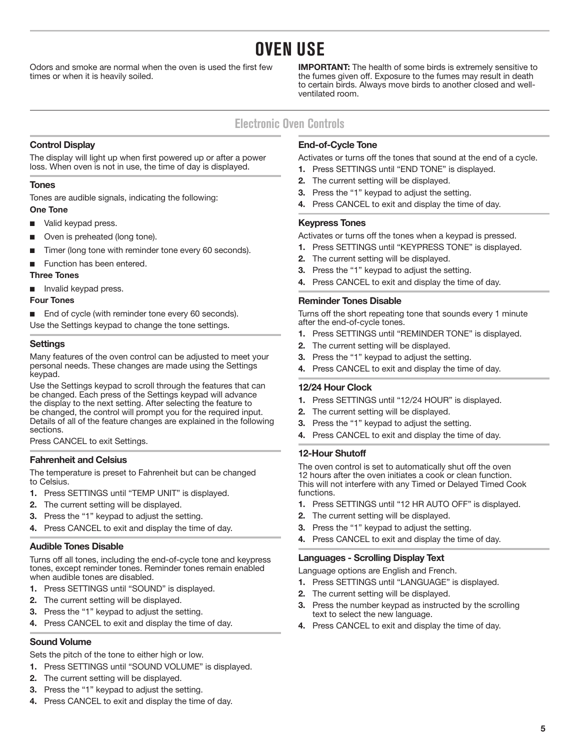# **OVEN USE**

<span id="page-4-0"></span>Odors and smoke are normal when the oven is used the first few times or when it is heavily soiled.

**IMPORTANT:** The health of some birds is extremely sensitive to the fumes given off. Exposure to the fumes may result in death to certain birds. Always move birds to another closed and wellventilated room.

# **Electronic Oven Controls**

# **Control Display**

The display will light up when first powered up or after a power loss. When oven is not in use, the time of day is displayed.

# **Tones**

Tones are audible signals, indicating the following: **One Tone**

- Valid keypad press.
- Oven is preheated (long tone).
- Timer (long tone with reminder tone every 60 seconds).
- Function has been entered.

### **Three Tones**

■ Invalid keypad press.

### **Four Tones**

■ End of cycle (with reminder tone every 60 seconds).

Use the Settings keypad to change the tone settings.

## **Settings**

Many features of the oven control can be adjusted to meet your personal needs. These changes are made using the Settings keypad.

Use the Settings keypad to scroll through the features that can be changed. Each press of the Settings keypad will advance the display to the next setting. After selecting the feature to be changed, the control will prompt you for the required input. Details of all of the feature changes are explained in the following sections.

Press CANCEL to exit Settings.

## **Fahrenheit and Celsius**

The temperature is preset to Fahrenheit but can be changed to Celsius.

- **1.** Press SETTINGS until "TEMP UNIT" is displayed.
- **2.** The current setting will be displayed.
- **3.** Press the "1" keypad to adjust the setting.
- **4.** Press CANCEL to exit and display the time of day.

## **Audible Tones Disable**

Turns off all tones, including the end-of-cycle tone and keypress tones, except reminder tones. Reminder tones remain enabled when audible tones are disabled.

- **1.** Press SETTINGS until "SOUND" is displayed.
- **2.** The current setting will be displayed.
- **3.** Press the "1" keypad to adjust the setting.
- **4.** Press CANCEL to exit and display the time of day.

## **Sound Volume**

Sets the pitch of the tone to either high or low.

- **1.** Press SETTINGS until "SOUND VOLUME" is displayed.
- **2.** The current setting will be displayed.
- **3.** Press the "1" keypad to adjust the setting.
- **4.** Press CANCEL to exit and display the time of day.

# **End-of-Cycle Tone**

Activates or turns off the tones that sound at the end of a cycle.

- **1.** Press SETTINGS until "END TONE" is displayed.
- **2.** The current setting will be displayed.
- **3.** Press the "1" keypad to adjust the setting.
- **4.** Press CANCEL to exit and display the time of day.

# **Keypress Tones**

Activates or turns off the tones when a keypad is pressed.

- **1.** Press SETTINGS until "KEYPRESS TONE" is displayed.
- **2.** The current setting will be displayed.
- **3.** Press the "1" keypad to adjust the setting.
- **4.** Press CANCEL to exit and display the time of day.

## **Reminder Tones Disable**

Turns off the short repeating tone that sounds every 1 minute after the end-of-cycle tones.

- **1.** Press SETTINGS until "REMINDER TONE" is displayed.
- **2.** The current setting will be displayed.
- **3.** Press the "1" keypad to adjust the setting.
- **4.** Press CANCEL to exit and display the time of day.

## **12/24 Hour Clock**

- **1.** Press SETTINGS until "12/24 HOUR" is displayed.
- **2.** The current setting will be displayed.
- **3.** Press the "1" keypad to adjust the setting.
- **4.** Press CANCEL to exit and display the time of day.

## **12-Hour Shutoff**

The oven control is set to automatically shut off the oven 12 hours after the oven initiates a cook or clean function. This will not interfere with any Timed or Delayed Timed Cook functions.

- **1.** Press SETTINGS until "12 HR AUTO OFF" is displayed.
- **2.** The current setting will be displayed.
- **3.** Press the "1" keypad to adjust the setting.
- **4.** Press CANCEL to exit and display the time of day.

## **Languages - Scrolling Display Text**

Language options are English and French.

- **1.** Press SETTINGS until "LANGUAGE" is displayed.
- **2.** The current setting will be displayed.
- **3.** Press the number keypad as instructed by the scrolling text to select the new language.
- **4.** Press CANCEL to exit and display the time of day.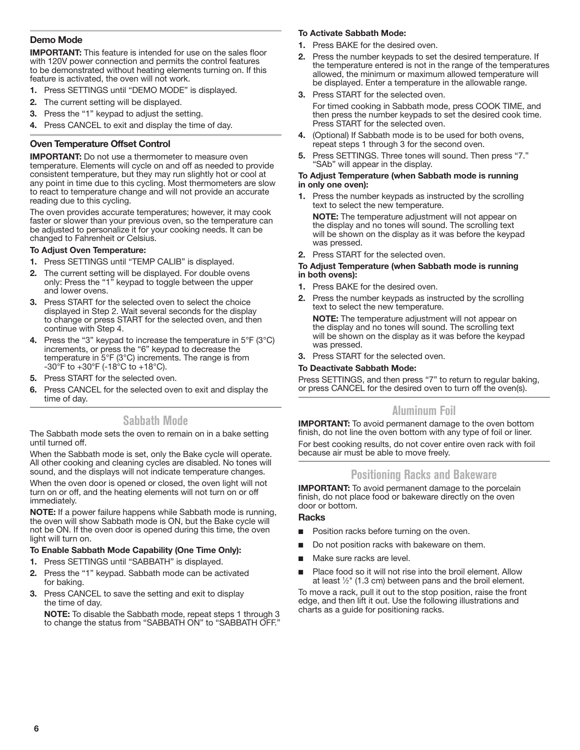# <span id="page-5-0"></span>**Demo Mode**

**IMPORTANT:** This feature is intended for use on the sales floor with 120V power connection and permits the control features to be demonstrated without heating elements turning on. If this feature is activated, the oven will not work.

- **1.** Press SETTINGS until "DEMO MODE" is displayed.
- **2.** The current setting will be displayed.
- **3.** Press the "1" keypad to adjust the setting.
- **4.** Press CANCEL to exit and display the time of day.

### **Oven Temperature Offset Control**

**IMPORTANT:** Do not use a thermometer to measure oven temperature. Elements will cycle on and off as needed to provide consistent temperature, but they may run slightly hot or cool at any point in time due to this cycling. Most thermometers are slow to react to temperature change and will not provide an accurate reading due to this cycling.

The oven provides accurate temperatures; however, it may cook faster or slower than your previous oven, so the temperature can be adjusted to personalize it for your cooking needs. It can be changed to Fahrenheit or Celsius.

#### **To Adjust Oven Temperature:**

- **1.** Press SETTINGS until "TEMP CALIB" is displayed.
- **2.** The current setting will be displayed. For double ovens only: Press the "1" keypad to toggle between the upper and lower ovens.
- **3.** Press START for the selected oven to select the choice displayed in Step 2. Wait several seconds for the display to change or press START for the selected oven, and then continue with Step 4.
- **4.** Press the "3" keypad to increase the temperature in 5°F (3°C) increments, or press the "6" keypad to decrease the temperature in 5°F (3°C) increments. The range is from  $-30^{\circ}$ F to  $+30^{\circ}$ F ( $-18^{\circ}$ C to  $+18^{\circ}$ C).
- **5.** Press START for the selected oven.
- **6.** Press CANCEL for the selected oven to exit and display the time of day.

# **Sabbath Mode**

The Sabbath mode sets the oven to remain on in a bake setting until turned off.

When the Sabbath mode is set, only the Bake cycle will operate. All other cooking and cleaning cycles are disabled. No tones will sound, and the displays will not indicate temperature changes.

When the oven door is opened or closed, the oven light will not turn on or off, and the heating elements will not turn on or off immediately.

**NOTE:** If a power failure happens while Sabbath mode is running, the oven will show Sabbath mode is ON, but the Bake cycle will not be ON. If the oven door is opened during this time, the oven light will turn on.

#### **To Enable Sabbath Mode Capability (One Time Only):**

- **1.** Press SETTINGS until "SABBATH" is displayed.
- **2.** Press the "1" keypad. Sabbath mode can be activated for baking.
- **3.** Press CANCEL to save the setting and exit to display the time of day.

**NOTE:** To disable the Sabbath mode, repeat steps 1 through 3 to change the status from "SABBATH ON" to "SABBATH OFF."

#### **To Activate Sabbath Mode:**

- **1.** Press BAKE for the desired oven.
- **2.** Press the number keypads to set the desired temperature. If the temperature entered is not in the range of the temperatures allowed, the minimum or maximum allowed temperature will be displayed. Enter a temperature in the allowable range.
- **3.** Press START for the selected oven.

For timed cooking in Sabbath mode, press COOK TIME, and then press the number keypads to set the desired cook time. Press START for the selected oven.

- **4.** (Optional) If Sabbath mode is to be used for both ovens, repeat steps 1 through 3 for the second oven.
- **5.** Press SETTINGS. Three tones will sound. Then press "7." "SAb" will appear in the display.

#### **To Adjust Temperature (when Sabbath mode is running in only one oven):**

**1.** Press the number keypads as instructed by the scrolling text to select the new temperature.

**NOTE:** The temperature adjustment will not appear on the display and no tones will sound. The scrolling text will be shown on the display as it was before the keypad was pressed.

**2.** Press START for the selected oven.

#### **To Adjust Temperature (when Sabbath mode is running in both ovens):**

- **1.** Press BAKE for the desired oven.
- **2.** Press the number keypads as instructed by the scrolling text to select the new temperature.

**NOTE:** The temperature adjustment will not appear on the display and no tones will sound. The scrolling text will be shown on the display as it was before the keypad was pressed.

**3.** Press START for the selected oven.

#### **To Deactivate Sabbath Mode:**

Press SETTINGS, and then press "7" to return to regular baking, or press CANCEL for the desired oven to turn off the oven(s).

# **Aluminum Foil**

**IMPORTANT:** To avoid permanent damage to the oven bottom finish, do not line the oven bottom with any type of foil or liner. For best cooking results, do not cover entire oven rack with foil because air must be able to move freely.

# **Positioning Racks and Bakeware**

**IMPORTANT:** To avoid permanent damage to the porcelain finish, do not place food or bakeware directly on the oven door or bottom.

#### **Racks**

- Position racks before turning on the oven.
- Do not position racks with bakeware on them.
- Make sure racks are level.
- Place food so it will not rise into the broil element. Allow at least  $\frac{1}{2}$ " (1.3 cm) between pans and the broil element.

To move a rack, pull it out to the stop position, raise the front edge, and then lift it out. Use the following illustrations and charts as a guide for positioning racks.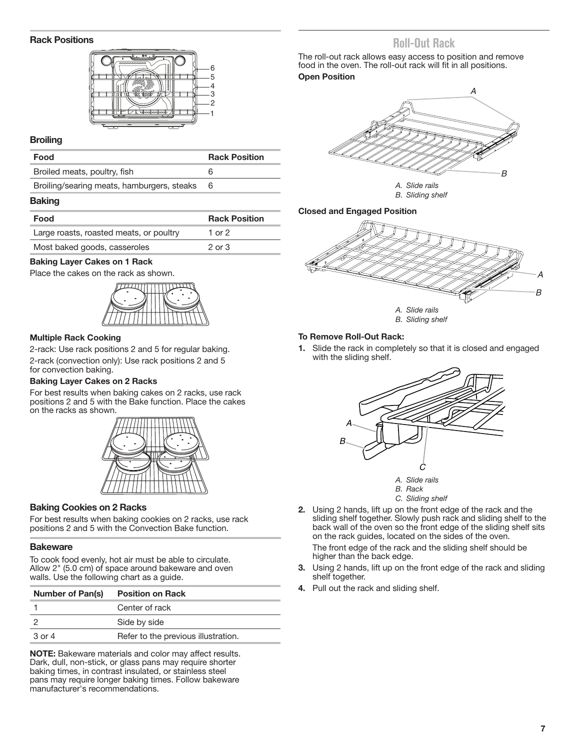### <span id="page-6-0"></span>**Rack Positions**



### **Broiling**

| Food                                       | <b>Rack Position</b> |
|--------------------------------------------|----------------------|
| Broiled meats, poultry, fish               |                      |
| Broiling/searing meats, hamburgers, steaks | 6                    |

#### **Baking**

| Food                                    | <b>Rack Position</b> |
|-----------------------------------------|----------------------|
| Large roasts, roasted meats, or poultry | 1 or $2$             |
| Most baked goods, casseroles            | $2 \text{ or } 3$    |

#### **Baking Layer Cakes on 1 Rack**

Place the cakes on the rack as shown.



### **Multiple Rack Cooking**

2-rack: Use rack positions 2 and 5 for regular baking. 2-rack (convection only): Use rack positions 2 and 5 for convection baking.

## **Baking Layer Cakes on 2 Racks**

For best results when baking cakes on 2 racks, use rack positions 2 and 5 with the Bake function. Place the cakes on the racks as shown.



## **Baking Cookies on 2 Racks**

For best results when baking cookies on 2 racks, use rack positions 2 and 5 with the Convection Bake function.

#### **Bakeware**

To cook food evenly, hot air must be able to circulate. Allow 2" (5.0 cm) of space around bakeware and oven walls. Use the following chart as a guide.

| <b>Number of Pan(s)</b> | <b>Position on Rack</b>             |
|-------------------------|-------------------------------------|
|                         | Center of rack                      |
|                         | Side by side                        |
| 3 or 4                  | Refer to the previous illustration. |

**NOTE:** Bakeware materials and color may affect results. Dark, dull, non-stick, or glass pans may require shorter baking times, in contrast insulated, or stainless steel pans may require longer baking times. Follow bakeware manufacturer's recommendations.

# **Roll-Out Rack**

The roll-out rack allows easy access to position and remove food in the oven. The roll-out rack will fit in all positions. **Open Position**



*B. Sliding shelf*

#### **Closed and Engaged Position**





#### **To Remove Roll-Out Rack:**

**1.** Slide the rack in completely so that it is closed and engaged with the sliding shelf.





- *C. Sliding shelf*
- **2.** Using 2 hands, lift up on the front edge of the rack and the sliding shelf together. Slowly push rack and sliding shelf to the back wall of the oven so the front edge of the sliding shelf sits on the rack guides, located on the sides of the oven. The front edge of the rack and the sliding shelf should be

higher than the back edge.

- **3.** Using 2 hands, lift up on the front edge of the rack and sliding shelf together.
- **4.** Pull out the rack and sliding shelf.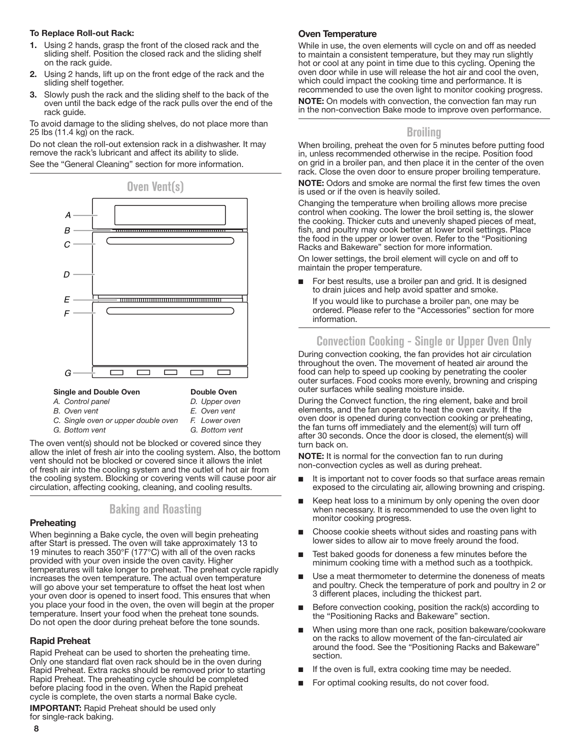#### <span id="page-7-0"></span>**To Replace Roll-out Rack:**

- **1.** Using 2 hands, grasp the front of the closed rack and the sliding shelf. Position the closed rack and the sliding shelf on the rack guide.
- **2.** Using 2 hands, lift up on the front edge of the rack and the sliding shelf together.
- **3.** Slowly push the rack and the sliding shelf to the back of the oven until the back edge of the rack pulls over the end of the rack guide.

To avoid damage to the sliding shelves, do not place more than 25 lbs (11.4 kg) on the rack.

Do not clean the roll-out extension rack in a dishwasher. It may remove the rack's lubricant and affect its ability to slide.

See the "General Cleaning" section for more information.



| <b>Single and Double Oven</b> |  |  |
|-------------------------------|--|--|
|-------------------------------|--|--|

**Double Oven** *D. Upper oven*

- *A. Control panel*
- *B. Oven vent*
- *E. Oven vent F. Lower oven*
- *C. Single oven or upper double oven G. Bottom vent*
- *G. Bottom vent*

The oven vent(s) should not be blocked or covered since they allow the inlet of fresh air into the cooling system. Also, the bottom vent should not be blocked or covered since it allows the inlet of fresh air into the cooling system and the outlet of hot air from the cooling system. Blocking or covering vents will cause poor air circulation, affecting cooking, cleaning, and cooling results.

# **Baking and Roasting**

## **Preheating**

When beginning a Bake cycle, the oven will begin preheating after Start is pressed. The oven will take approximately 13 to 19 minutes to reach 350°F (177°C) with all of the oven racks provided with your oven inside the oven cavity. Higher temperatures will take longer to preheat. The preheat cycle rapidly increases the oven temperature. The actual oven temperature will go above your set temperature to offset the heat lost when your oven door is opened to insert food. This ensures that when you place your food in the oven, the oven will begin at the proper temperature. Insert your food when the preheat tone sounds. Do not open the door during preheat before the tone sounds.

## **Rapid Preheat**

Rapid Preheat can be used to shorten the preheating time. Only one standard flat oven rack should be in the oven during Rapid Preheat. Extra racks should be removed prior to starting Rapid Preheat. The preheating cycle should be completed before placing food in the oven. When the Rapid preheat cycle is complete, the oven starts a normal Bake cycle.

**IMPORTANT:** Rapid Preheat should be used only for single-rack baking.

## **Oven Temperature**

While in use, the oven elements will cycle on and off as needed to maintain a consistent temperature, but they may run slightly hot or cool at any point in time due to this cycling. Opening the oven door while in use will release the hot air and cool the oven, which could impact the cooking time and performance. It is recommended to use the oven light to monitor cooking progress.

**NOTE:** On models with convection, the convection fan may run in the non-convection Bake mode to improve oven performance.

# **Broiling**

When broiling, preheat the oven for 5 minutes before putting food in, unless recommended otherwise in the recipe. Position food on grid in a broiler pan, and then place it in the center of the oven rack. Close the oven door to ensure proper broiling temperature.

**NOTE:** Odors and smoke are normal the first few times the oven is used or if the oven is heavily soiled.

Changing the temperature when broiling allows more precise control when cooking. The lower the broil setting is, the slower the cooking. Thicker cuts and unevenly shaped pieces of meat, fish, and poultry may cook better at lower broil settings. Place the food in the upper or lower oven. Refer to the "Positioning Racks and Bakeware" section for more information.

On lower settings, the broil element will cycle on and off to maintain the proper temperature.

For best results, use a broiler pan and grid. It is designed to drain juices and help avoid spatter and smoke. If you would like to purchase a broiler pan, one may be

ordered. Please refer to the "Accessories" section for more information.

# **Convection Cooking - Single or Upper Oven Only**

During convection cooking, the fan provides hot air circulation throughout the oven. The movement of heated air around the food can help to speed up cooking by penetrating the cooler outer surfaces. Food cooks more evenly, browning and crisping outer surfaces while sealing moisture inside.

During the Convect function, the ring element, bake and broil elements, and the fan operate to heat the oven cavity. If the oven door is opened during convection cooking or preheating, the fan turns off immediately and the element(s) will turn off after 30 seconds. Once the door is closed, the element(s) will turn back on.

**NOTE:** It is normal for the convection fan to run during non-convection cycles as well as during preheat.

- It is important not to cover foods so that surface areas remain exposed to the circulating air, allowing browning and crisping.
- Keep heat loss to a minimum by only opening the oven door when necessary. It is recommended to use the oven light to monitor cooking progress.
- Choose cookie sheets without sides and roasting pans with lower sides to allow air to move freely around the food.
- Test baked goods for doneness a few minutes before the minimum cooking time with a method such as a toothpick.
- Use a meat thermometer to determine the doneness of meats and poultry. Check the temperature of pork and poultry in 2 or 3 different places, including the thickest part.
- Before convection cooking, position the rack(s) according to the "Positioning Racks and Bakeware" section.
- When using more than one rack, position bakeware/cookware on the racks to allow movement of the fan-circulated air around the food. See the "Positioning Racks and Bakeware" section.
- If the oven is full, extra cooking time may be needed.
- For optimal cooking results, do not cover food.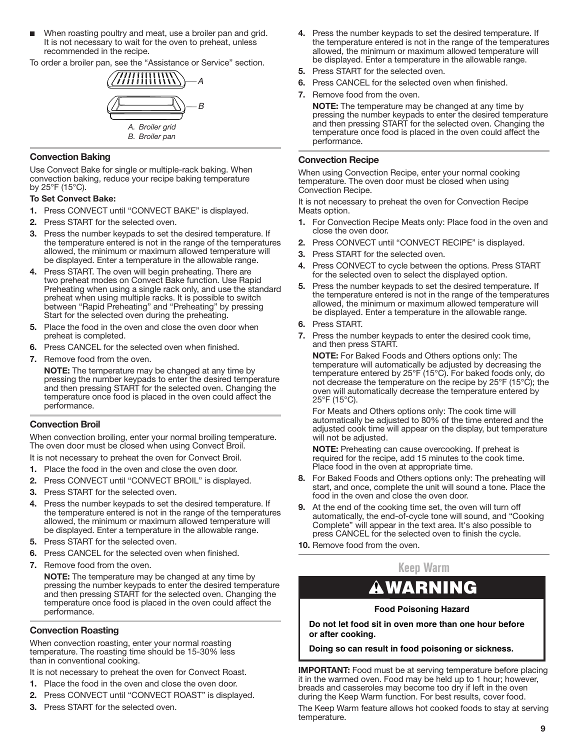<span id="page-8-0"></span>■ When roasting poultry and meat, use a broiler pan and grid. It is not necessary to wait for the oven to preheat, unless recommended in the recipe.

To order a broiler pan, see the "Assistance or Service" section.



#### **Convection Baking**

Use Convect Bake for single or multiple-rack baking. When convection baking, reduce your recipe baking temperature by 25°F (15°C).

#### **To Set Convect Bake:**

- **1.** Press CONVECT until "CONVECT BAKE" is displayed.
- **2.** Press START for the selected oven.
- **3.** Press the number keypads to set the desired temperature. If the temperature entered is not in the range of the temperatures allowed, the minimum or maximum allowed temperature will be displayed. Enter a temperature in the allowable range.
- **4.** Press START. The oven will begin preheating. There are two preheat modes on Convect Bake function. Use Rapid Preheating when using a single rack only, and use the standard preheat when using multiple racks. It is possible to switch between "Rapid Preheating" and "Preheating" by pressing Start for the selected oven during the preheating.
- **5.** Place the food in the oven and close the oven door when preheat is completed.
- **6.** Press CANCEL for the selected oven when finished.
- **7.** Remove food from the oven.
	- **NOTE:** The temperature may be changed at any time by pressing the number keypads to enter the desired temperature and then pressing START for the selected oven. Changing the temperature once food is placed in the oven could affect the performance.

#### **Convection Broil**

When convection broiling, enter your normal broiling temperature. The oven door must be closed when using Convect Broil.

It is not necessary to preheat the oven for Convect Broil.

- **1.** Place the food in the oven and close the oven door.
- **2.** Press CONVECT until "CONVECT BROIL" is displayed.
- **3.** Press START for the selected oven.
- **4.** Press the number keypads to set the desired temperature. If the temperature entered is not in the range of the temperatures allowed, the minimum or maximum allowed temperature will be displayed. Enter a temperature in the allowable range.
- **5.** Press START for the selected oven.
- **6.** Press CANCEL for the selected oven when finished.
- **7.** Remove food from the oven.

**NOTE:** The temperature may be changed at any time by pressing the number keypads to enter the desired temperature and then pressing START for the selected oven. Changing the temperature once food is placed in the oven could affect the performance.

#### **Convection Roasting**

When convection roasting, enter your normal roasting temperature. The roasting time should be 15-30% less than in conventional cooking.

It is not necessary to preheat the oven for Convect Roast.

- **1.** Place the food in the oven and close the oven door.
- **2.** Press CONVECT until "CONVECT ROAST" is displayed.
- **3.** Press START for the selected oven.
- **4.** Press the number keypads to set the desired temperature. If the temperature entered is not in the range of the temperatures allowed, the minimum or maximum allowed temperature will be displayed. Enter a temperature in the allowable range.
- **5.** Press START for the selected oven.
- **6.** Press CANCEL for the selected oven when finished.
- **7.** Remove food from the oven.

**NOTE:** The temperature may be changed at any time by pressing the number keypads to enter the desired temperature and then pressing START for the selected oven. Changing the temperature once food is placed in the oven could affect the performance.

#### **Convection Recipe**

When using Convection Recipe, enter your normal cooking temperature. The oven door must be closed when using Convection Recipe.

It is not necessary to preheat the oven for Convection Recipe Meats option.

- **1.** For Convection Recipe Meats only: Place food in the oven and close the oven door.
- **2.** Press CONVECT until "CONVECT RECIPE" is displayed.
- **3.** Press START for the selected oven.
- **4.** Press CONVECT to cycle between the options. Press START for the selected oven to select the displayed option.
- **5.** Press the number keypads to set the desired temperature. If the temperature entered is not in the range of the temperatures allowed, the minimum or maximum allowed temperature will be displayed. Enter a temperature in the allowable range.
- **6.** Press START.
- **7.** Press the number keypads to enter the desired cook time, and then press START.

**NOTE:** For Baked Foods and Others options only: The temperature will automatically be adjusted by decreasing the temperature entered by 25°F (15°C). For baked foods only, do not decrease the temperature on the recipe by 25°F (15°C); the oven will automatically decrease the temperature entered by 25°F (15°C).

For Meats and Others options only: The cook time will automatically be adjusted to 80% of the time entered and the adjusted cook time will appear on the display, but temperature will not be adjusted.

**NOTE:** Preheating can cause overcooking. If preheat is required for the recipe, add 15 minutes to the cook time. Place food in the oven at appropriate time.

- **8.** For Baked Foods and Others options only: The preheating will start, and once, complete the unit will sound a tone. Place the food in the oven and close the oven door.
- **9.** At the end of the cooking time set, the oven will turn off automatically, the end-of-cycle tone will sound, and "Cooking Complete" will appear in the text area. It's also possible to press CANCEL for the selected oven to finish the cycle.
- **10.** Remove food from the oven.

# **Keep Warm**

# WARNING

#### **Food Poisoning Hazard**

**Do not let food sit in oven more than one hour before or after cooking.**

**Doing so can result in food poisoning or sickness.**

**IMPORTANT:** Food must be at serving temperature before placing it in the warmed oven. Food may be held up to 1 hour; however, breads and casseroles may become too dry if left in the oven during the Keep Warm function. For best results, cover food.

The Keep Warm feature allows hot cooked foods to stay at serving temperature.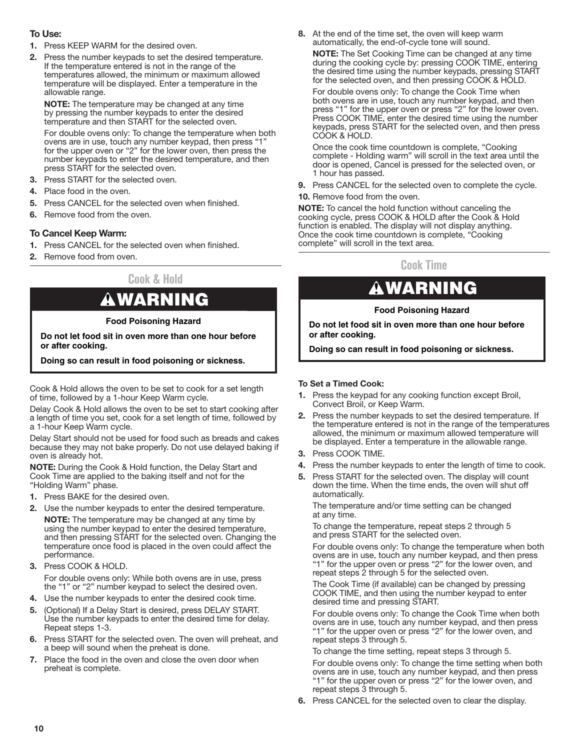## <span id="page-9-0"></span>**To Use:**

- **1.** Press KEEP WARM for the desired oven.
- **2.** Press the number keypads to set the desired temperature. If the temperature entered is not in the range of the temperatures allowed, the minimum or maximum allowed temperature will be displayed. Enter a temperature in the allowable range.

**NOTE:** The temperature may be changed at any time by pressing the number keypads to enter the desired temperature and then START for the selected oven.

For double ovens only: To change the temperature when both ovens are in use, touch any number keypad, then press "1" for the upper oven or "2" for the lower oven, then press the number keypads to enter the desired temperature, and then press START for the selected oven.

- **3.** Press START for the selected oven.
- **4.** Place food in the oven.
- **5.** Press CANCEL for the selected oven when finished.
- **6.** Remove food from the oven.

## **To Cancel Keep Warm:**

- **1.** Press CANCEL for the selected oven when finished.
- **2.** Remove food from oven.

# **Cook & Hold**

# WARNING

## **Food Poisoning Hazard**

**Do not let food sit in oven more than one hour before or after cooking.**

**Doing so can result in food poisoning or sickness.**

Cook & Hold allows the oven to be set to cook for a set length of time, followed by a 1-hour Keep Warm cycle.

Delay Cook & Hold allows the oven to be set to start cooking after a length of time you set, cook for a set length of time, followed by a 1-hour Keep Warm cycle.

Delay Start should not be used for food such as breads and cakes because they may not bake properly. Do not use delayed baking if oven is already hot.

**NOTE:** During the Cook & Hold function, the Delay Start and Cook Time are applied to the baking itself and not for the "Holding Warm" phase.

- **1.** Press BAKE for the desired oven.
- **2.** Use the number keypads to enter the desired temperature. **NOTE:** The temperature may be changed at any time by using the number keypad to enter the desired temperature, and then pressing START for the selected oven. Changing the temperature once food is placed in the oven could affect the
- performance. **3.** Press COOK & HOLD. For double ovens only: While both ovens are in use, press the "1" or "2" number keypad to select the desired oven.
- **4.** Use the number keypads to enter the desired cook time.
- **5.** (Optional) If a Delay Start is desired, press DELAY START. Use the number keypads to enter the desired time for delay. Repeat steps 1-3.
- **6.** Press START for the selected oven. The oven will preheat, and a beep will sound when the preheat is done.
- **7.** Place the food in the oven and close the oven door when preheat is complete.

**8.** At the end of the time set, the oven will keep warm automatically, the end-of-cycle tone will sound.

**NOTE:** The Set Cooking Time can be changed at any time during the cooking cycle by: pressing COOK TIME, entering the desired time using the number keypads, pressing START for the selected oven, and then pressing COOK & HOLD.

For double ovens only: To change the Cook Time when both ovens are in use, touch any number keypad, and then press "1" for the upper oven or press "2" for the lower oven. Press COOK TIME, enter the desired time using the number keypads, press START for the selected oven, and then press COOK & HOLD.

Once the cook time countdown is complete, "Cooking complete - Holding warm" will scroll in the text area until the door is opened, Cancel is pressed for the selected oven, or 1 hour has passed.

- **9.** Press CANCEL for the selected oven to complete the cycle.
- **10.** Remove food from the oven.

**NOTE:** To cancel the hold function without canceling the cooking cycle, press COOK & HOLD after the Cook & Hold function is enabled. The display will not display anything. Once the cook time countdown is complete, "Cooking complete" will scroll in the text area.

**Cook Time**

# WARNING

# **Food Poisoning Hazard**

**Do not let food sit in oven more than one hour before or after cooking.**

**Doing so can result in food poisoning or sickness.**

## **To Set a Timed Cook:**

- **1.** Press the keypad for any cooking function except Broil, Convect Broil, or Keep Warm.
- **2.** Press the number keypads to set the desired temperature. If the temperature entered is not in the range of the temperatures allowed, the minimum or maximum allowed temperature will be displayed. Enter a temperature in the allowable range.
- **3.** Press COOK TIME.
- **4.** Press the number keypads to enter the length of time to cook.
- **5.** Press START for the selected oven. The display will count down the time. When the time ends, the oven will shut off automatically.

The temperature and/or time setting can be changed at any time.

To change the temperature, repeat steps 2 through 5 and press START for the selected oven.

For double ovens only: To change the temperature when both ovens are in use, touch any number keypad, and then press "1" for the upper oven or press "2" for the lower oven, and repeat steps 2 through 5 for the selected oven.

The Cook Time (if available) can be changed by pressing COOK TIME, and then using the number keypad to enter desired time and pressing START.

For double ovens only: To change the Cook Time when both ovens are in use, touch any number keypad, and then press "1" for the upper oven or press "2" for the lower oven, and repeat steps 3 through 5.

To change the time setting, repeat steps 3 through 5.

For double ovens only: To change the time setting when both ovens are in use, touch any number keypad, and then press "1" for the upper oven or press "2" for the lower oven, and repeat steps 3 through 5.

**6.** Press CANCEL for the selected oven to clear the display.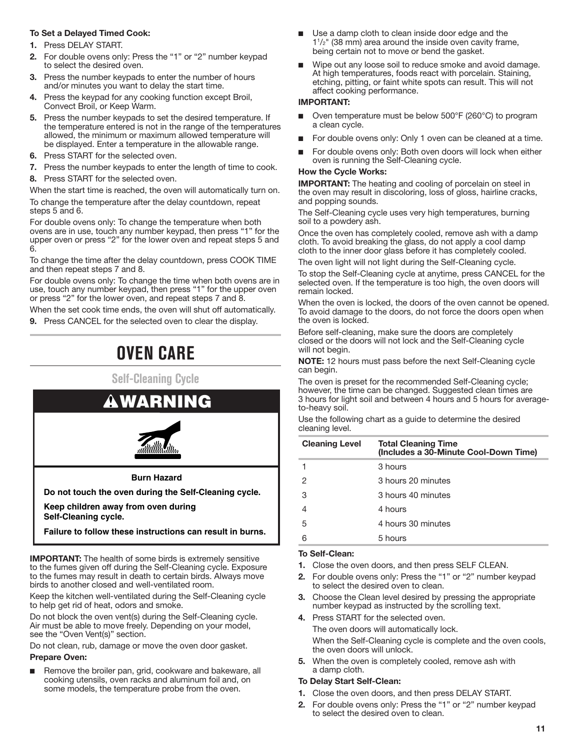## <span id="page-10-0"></span>**To Set a Delayed Timed Cook:**

- **1.** Press DELAY START.
- **2.** For double ovens only: Press the "1" or "2" number keypad to select the desired oven.
- **3.** Press the number keypads to enter the number of hours and/or minutes you want to delay the start time.
- **4.** Press the keypad for any cooking function except Broil, Convect Broil, or Keep Warm.
- **5.** Press the number keypads to set the desired temperature. If the temperature entered is not in the range of the temperatures allowed, the minimum or maximum allowed temperature will be displayed. Enter a temperature in the allowable range.
- **6.** Press START for the selected oven.
- **7.** Press the number keypads to enter the length of time to cook.
- **8.** Press START for the selected oven.

When the start time is reached, the oven will automatically turn on.

To change the temperature after the delay countdown, repeat steps 5 and 6.

For double ovens only: To change the temperature when both ovens are in use, touch any number keypad, then press "1" for the upper oven or press "2" for the lower oven and repeat steps 5 and 6.

To change the time after the delay countdown, press COOK TIME and then repeat steps 7 and 8.

For double ovens only: To change the time when both ovens are in use, touch any number keypad, then press "1" for the upper oven or press "2" for the lower oven, and repeat steps 7 and 8.

When the set cook time ends, the oven will shut off automatically.

**9.** Press CANCEL for the selected oven to clear the display.

# **OVEN CARE**

**Self-Cleaning Cycle**



**Keep children away from oven during Self-Cleaning cycle.**

**Failure to follow these instructions can result in burns.**

**IMPORTANT:** The health of some birds is extremely sensitive to the fumes given off during the Self-Cleaning cycle. Exposure to the fumes may result in death to certain birds. Always move birds to another closed and well-ventilated room.

Keep the kitchen well-ventilated during the Self-Cleaning cycle to help get rid of heat, odors and smoke.

Do not block the oven vent(s) during the Self-Cleaning cycle. Air must be able to move freely. Depending on your model, see the "Oven Vent(s)" section.

Do not clean, rub, damage or move the oven door gasket.

## **Prepare Oven:**

Remove the broiler pan, grid, cookware and bakeware, all cooking utensils, oven racks and aluminum foil and, on some models, the temperature probe from the oven.

- Use a damp cloth to clean inside door edge and the 11 /2" (38 mm) area around the inside oven cavity frame, being certain not to move or bend the gasket.
- Wipe out any loose soil to reduce smoke and avoid damage. At high temperatures, foods react with porcelain. Staining, etching, pitting, or faint white spots can result. This will not affect cooking performance.

#### **IMPORTANT:**

- Oven temperature must be below 500°F (260°C) to program a clean cycle.
- For double ovens only: Only 1 oven can be cleaned at a time.
- For double ovens only: Both oven doors will lock when either oven is running the Self-Cleaning cycle.

#### **How the Cycle Works:**

**IMPORTANT:** The heating and cooling of porcelain on steel in the oven may result in discoloring, loss of gloss, hairline cracks, and popping sounds.

The Self-Cleaning cycle uses very high temperatures, burning soil to a powdery ash.

Once the oven has completely cooled, remove ash with a damp cloth. To avoid breaking the glass, do not apply a cool damp cloth to the inner door glass before it has completely cooled.

The oven light will not light during the Self-Cleaning cycle.

To stop the Self-Cleaning cycle at anytime, press CANCEL for the selected oven. If the temperature is too high, the oven doors will remain locked.

When the oven is locked, the doors of the oven cannot be opened. To avoid damage to the doors, do not force the doors open when the oven is locked.

Before self-cleaning, make sure the doors are completely closed or the doors will not lock and the Self-Cleaning cycle will not begin.

**NOTE:** 12 hours must pass before the next Self-Cleaning cycle can begin.

The oven is preset for the recommended Self-Cleaning cycle; however, the time can be changed. Suggested clean times are 3 hours for light soil and between 4 hours and 5 hours for averageto-heavy soil.

Use the following chart as a guide to determine the desired cleaning level.

| <b>Cleaning Level</b> | <b>Total Cleaning Time</b><br>(Includes a 30-Minute Cool-Down Time) |
|-----------------------|---------------------------------------------------------------------|
|                       | 3 hours                                                             |
| 2                     | 3 hours 20 minutes                                                  |
| 3                     | 3 hours 40 minutes                                                  |
| 4                     | 4 hours                                                             |
| 5                     | 4 hours 30 minutes                                                  |
| 6                     | 5 hours                                                             |

#### **To Self-Clean:**

- **1.** Close the oven doors, and then press SELF CLEAN.
- **2.** For double ovens only: Press the "1" or "2" number keypad to select the desired oven to clean.
- **3.** Choose the Clean level desired by pressing the appropriate number keypad as instructed by the scrolling text.
- **4.** Press START for the selected oven.

The oven doors will automatically lock.

When the Self-Cleaning cycle is complete and the oven cools, the oven doors will unlock.

**5.** When the oven is completely cooled, remove ash with a damp cloth.

#### **To Delay Start Self-Clean:**

- **1.** Close the oven doors, and then press DELAY START.
- **2.** For double ovens only: Press the "1" or "2" number keypad to select the desired oven to clean.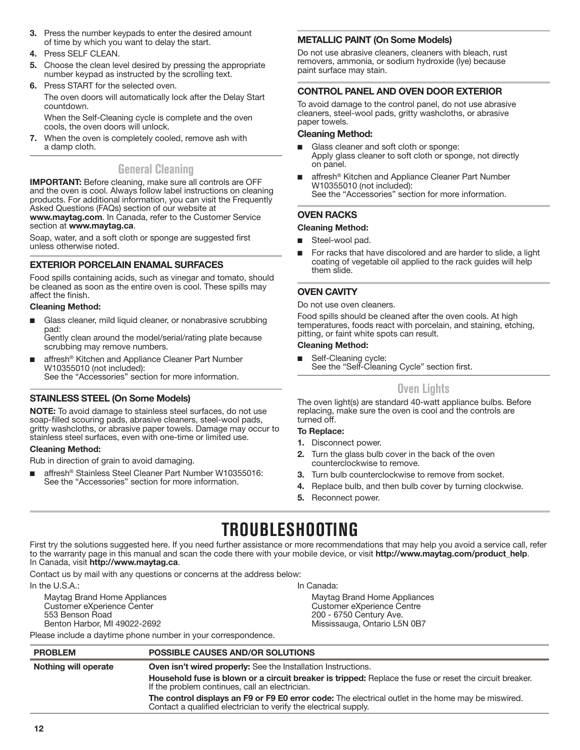- <span id="page-11-0"></span>**3.** Press the number keypads to enter the desired amount of time by which you want to delay the start.
- **4.** Press SELF CLEAN.
- **5.** Choose the clean level desired by pressing the appropriate number keypad as instructed by the scrolling text.
- **6.** Press START for the selected oven. The oven doors will automatically lock after the Delay Start countdown.

When the Self-Cleaning cycle is complete and the oven cools, the oven doors will unlock.

**7.** When the oven is completely cooled, remove ash with a damp cloth.

# **General Cleaning**

**IMPORTANT:** Before cleaning, make sure all controls are OFF and the oven is cool. Always follow label instructions on cleaning products. For additional information, you can visit the Frequently Asked Questions (FAQs) section of our website at **www.maytag.com**. In Canada, refer to the Customer Service section at **www.maytag.ca**.

Soap, water, and a soft cloth or sponge are suggested first unless otherwise noted.

# **EXTERIOR PORCELAIN ENAMAL SURFACES**

Food spills containing acids, such as vinegar and tomato, should be cleaned as soon as the entire oven is cool. These spills may affect the finish.

# **Cleaning Method:**

■ Glass cleaner, mild liquid cleaner, or nonabrasive scrubbing pad:

Gently clean around the model/serial/rating plate because scrubbing may remove numbers.

affresh<sup>®</sup> Kitchen and Appliance Cleaner Part Number W10355010 (not included): See the "Accessories" section for more information.

# **STAINLESS STEEL (On Some Models)**

**NOTE:** To avoid damage to stainless steel surfaces, do not use soap-filled scouring pads, abrasive cleaners, steel-wool pads, gritty washcloths, or abrasive paper towels. Damage may occur to stainless steel surfaces, even with one-time or limited use.

## **Cleaning Method:**

Rub in direction of grain to avoid damaging.

affresh<sup>®</sup> Stainless Steel Cleaner Part Number W10355016: See the "Accessories" section for more information.

# **METALLIC PAINT (On Some Models)**

Do not use abrasive cleaners, cleaners with bleach, rust removers, ammonia, or sodium hydroxide (lye) because paint surface may stain.

# **CONTROL PANEL AND OVEN DOOR EXTERIOR**

To avoid damage to the control panel, do not use abrasive cleaners, steel-wool pads, gritty washcloths, or abrasive paper towels.

### **Cleaning Method:**

- Glass cleaner and soft cloth or sponge:
- Apply glass cleaner to soft cloth or sponge, not directly on panel.
- affresh<sup>®</sup> Kitchen and Appliance Cleaner Part Number W10355010 (not included): See the "Accessories" section for more information.

# **OVEN RACKS**

## **Cleaning Method:**

- Steel-wool pad.
- For racks that have discolored and are harder to slide, a light coating of vegetable oil applied to the rack guides will help them slide.

# **OVEN CAVITY**

Do not use oven cleaners.

Food spills should be cleaned after the oven cools. At high temperatures, foods react with porcelain, and staining, etching, pitting, or faint white spots can result.

### **Cleaning Method:**

■ Self-Cleaning cycle: See the "Self-Cleaning Cycle" section first.

# **Oven Lights**

The oven light(s) are standard 40-watt appliance bulbs. Before replacing, make sure the oven is cool and the controls are turned off.

## **To Replace:**

- **1.** Disconnect power.
- **2.** Turn the glass bulb cover in the back of the oven counterclockwise to remove.
- **3.** Turn bulb counterclockwise to remove from socket.
- **4.** Replace bulb, and then bulb cover by turning clockwise.
- **5.** Reconnect power.

# **TROUBLESHOOTING**

First try the solutions suggested here. If you need further assistance or more recommendations that may help you avoid a service call, refer to the warranty page in this manual and scan the code there with your mobile device, or visit **http://www.maytag.com/product\_help**. In Canada, visit **http://www.maytag.ca**.

Contact us by mail with any questions or concerns at the address below:

In the U.S.A.:

Maytag Brand Home Appliances Customer eXperience Center 553 Benson Road Benton Harbor, MI 49022-2692

In Canada:

Maytag Brand Home Appliances Customer eXperience Centre 200 - 6750 Century Ave. Mississauga, Ontario L5N 0B7

Please include a daytime phone number in your correspondence.

| <b>PROBLEM</b>       | <b>POSSIBLE CAUSES AND/OR SOLUTIONS</b>                                                                                                                                |
|----------------------|------------------------------------------------------------------------------------------------------------------------------------------------------------------------|
| Nothing will operate | <b>Oven isn't wired properly:</b> See the Installation Instructions.                                                                                                   |
|                      | Household fuse is blown or a circuit breaker is tripped: Replace the fuse or reset the circuit breaker.<br>If the problem continues, call an electrician.              |
|                      | The control displays an F9 or F9 E0 error code: The electrical outlet in the home may be miswired.<br>Contact a qualified electrician to verify the electrical supply. |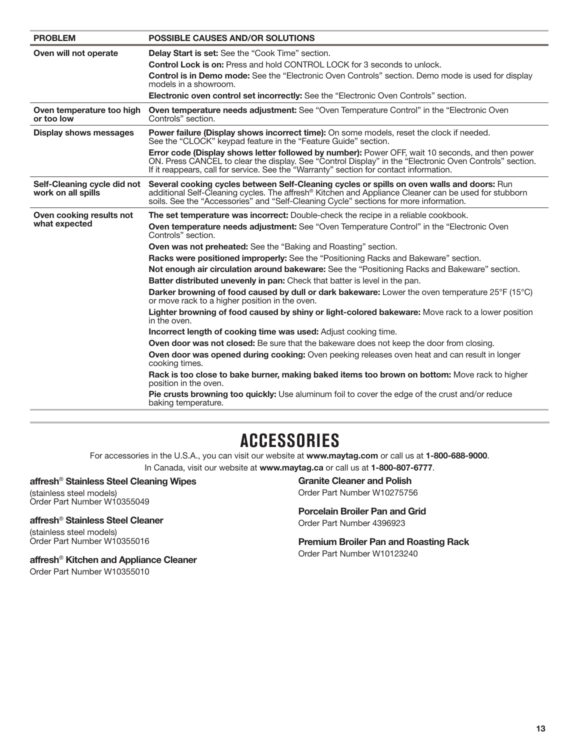<span id="page-12-0"></span>

| <b>PROBLEM</b>                                    | <b>POSSIBLE CAUSES AND/OR SOLUTIONS</b>                                                                                                                                                                                                                                                                 |
|---------------------------------------------------|---------------------------------------------------------------------------------------------------------------------------------------------------------------------------------------------------------------------------------------------------------------------------------------------------------|
| Oven will not operate                             | <b>Delay Start is set:</b> See the "Cook Time" section.                                                                                                                                                                                                                                                 |
|                                                   | <b>Control Lock is on:</b> Press and hold CONTROL LOCK for 3 seconds to unlock.                                                                                                                                                                                                                         |
|                                                   | <b>Control is in Demo mode:</b> See the "Electronic Oven Controls" section. Demo mode is used for display<br>models in a showroom.                                                                                                                                                                      |
|                                                   | Electronic oven control set incorrectly: See the "Electronic Oven Controls" section.                                                                                                                                                                                                                    |
| Oven temperature too high<br>or too low           | <b>Oven temperature needs adjustment:</b> See "Oven Temperature Control" in the "Electronic Oven<br>Controls" section.                                                                                                                                                                                  |
| <b>Display shows messages</b>                     | Power failure (Display shows incorrect time): On some models, reset the clock if needed.<br>See the "CLOCK" keypad feature in the "Feature Guide" section.                                                                                                                                              |
|                                                   | Error code (Display shows letter followed by number): Power OFF, wait 10 seconds, and then power<br>ON. Press CANCEL to clear the display. See "Control Display" in the "Electronic Oven Controls" section.<br>If it reappears, call for service. See the "Warranty" section for contact information.   |
| Self-Cleaning cycle did not<br>work on all spills | Several cooking cycles between Self-Cleaning cycles or spills on oven walls and doors: Run<br>additional Self-Cleaning cycles. The affresh <sup>®</sup> Kitchen and Appliance Cleaner can be used for stubborn<br>soils. See the "Accessories" and "Self-Cleaning Cycle" sections for more information. |
| Oven cooking results not                          | The set temperature was incorrect: Double-check the recipe in a reliable cookbook.                                                                                                                                                                                                                      |
| what expected                                     | Oven temperature needs adjustment: See "Oven Temperature Control" in the "Electronic Oven<br>Controls" section.                                                                                                                                                                                         |
|                                                   | <b>Oven was not preheated:</b> See the "Baking and Roasting" section.                                                                                                                                                                                                                                   |
|                                                   | Racks were positioned improperly: See the "Positioning Racks and Bakeware" section.                                                                                                                                                                                                                     |
|                                                   | Not enough air circulation around bakeware: See the "Positioning Racks and Bakeware" section.                                                                                                                                                                                                           |
|                                                   | Batter distributed unevenly in pan: Check that batter is level in the pan.                                                                                                                                                                                                                              |
|                                                   | Darker browning of food caused by dull or dark bakeware: Lower the oven temperature 25°F (15°C)<br>or move rack to a higher position in the oven.                                                                                                                                                       |
|                                                   | Lighter browning of food caused by shiny or light-colored bakeware: Move rack to a lower position<br>in the oven.                                                                                                                                                                                       |
|                                                   | <b>Incorrect length of cooking time was used:</b> Adjust cooking time.                                                                                                                                                                                                                                  |
|                                                   | <b>Oven door was not closed:</b> Be sure that the bakeware does not keep the door from closing.                                                                                                                                                                                                         |
|                                                   | Oven door was opened during cooking: Oven peeking releases oven heat and can result in longer<br>cooking times.                                                                                                                                                                                         |
|                                                   | Rack is too close to bake burner, making baked items too brown on bottom: Move rack to higher<br>position in the oven.                                                                                                                                                                                  |
|                                                   | <b>Pie crusts browning too quickly:</b> Use aluminum foil to cover the edge of the crust and/or reduce<br>baking temperature.                                                                                                                                                                           |
|                                                   |                                                                                                                                                                                                                                                                                                         |

# **ACCESSORIES**

For accessories in the U.S.A., you can visit our website at **www.maytag.com** or call us at **1-800-688-9000**. In Canada, visit our website at **www.maytag.ca** or call us at **1-800-807-6777**.

### **affresh**® **Stainless Steel Cleaning Wipes**

(stainless steel models) Order Part Number W10355049

# **affresh**® **Stainless Steel Cleaner**

(stainless steel models) Order Part Number W10355016

**affresh**® **Kitchen and Appliance Cleaner**

Order Part Number W10355010

**Granite Cleaner and Polish** Order Part Number W10275756

**Porcelain Broiler Pan and Grid** Order Part Number 4396923

**Premium Broiler Pan and Roasting Rack** Order Part Number W10123240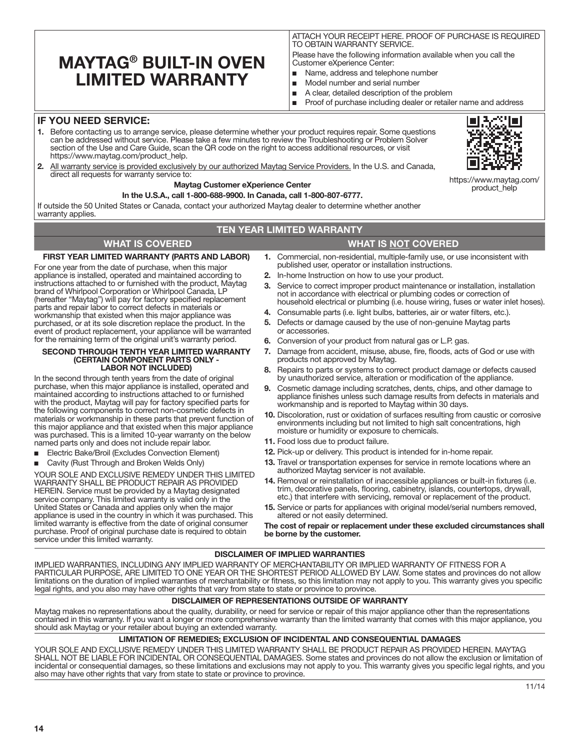# <span id="page-13-0"></span>**MAYTAG® BUILT-IN OVEN LIMITED WARRANTY**

ATTACH YOUR RECEIPT HERE. PROOF OF PURCHASE IS REQUIRED TO OBTAIN WARRANTY SERVICE.

Please have the following information available when you call the Customer eXperience Center:

- Name, address and telephone number
- Model number and serial number
- A clear, detailed description of the problem
- Proof of purchase including dealer or retailer name and address

# **IF YOU NEED SERVICE:**

- **1.** Before contacting us to arrange service, please determine whether your product requires repair. Some questions can be addressed without service. Please take a few minutes to review the Troubleshooting or Problem Solver section of the Use and Care Guide, scan the QR code on the right to access additional resources, or visit https://www.maytag.com/product\_help.
- **2.** All warranty service is provided exclusively by our authorized Maytag Service Providers. In the U.S. and Canada, direct all requests for warranty service to:

#### **Maytag Customer eXperience Center**

#### **In the U.S.A., call 1-800-688-9900. In Canada, call 1-800-807-6777.**

If outside the 50 United States or Canada, contact your authorized Maytag dealer to determine whether another warranty applies

### **TEN YEAR LIMITED WARRANTY**

### **WHAT IS COVERED WHAT IS NOT COVERED**

#### **FIRST YEAR LIMITED WARRANTY (PARTS AND LABOR)**

For one year from the date of purchase, when this major appliance is installed, operated and maintained according to instructions attached to or furnished with the product, Maytag brand of Whirlpool Corporation or Whirlpool Canada, LP (hereafter "Maytag") will pay for factory specified replacement parts and repair labor to correct defects in materials or workmanship that existed when this major appliance was purchased, or at its sole discretion replace the product. In the event of product replacement, your appliance will be warranted for the remaining term of the original unit's warranty period.

#### **SECOND THROUGH TENTH YEAR LIMITED WARRANTY (CERTAIN COMPONENT PARTS ONLY - LABOR NOT INCLUDED)**

In the second through tenth years from the date of original purchase, when this major appliance is installed, operated and maintained according to instructions attached to or furnished with the product, Maytag will pay for factory specified parts for the following components to correct non-cosmetic defects in materials or workmanship in these parts that prevent function of this major appliance and that existed when this major appliance was purchased. This is a limited 10-year warranty on the below named parts only and does not include repair labor.

- Electric Bake/Broil (Excludes Convection Element)
- Cavity (Rust Through and Broken Welds Only)

YOUR SOLE AND EXCLUSIVE REMEDY UNDER THIS LIMITED WARRANTY SHALL BE PRODUCT REPAIR AS PROVIDED HEREIN. Service must be provided by a Maytag designated service company. This limited warranty is valid only in the United States or Canada and applies only when the major appliance is used in the country in which it was purchased. This limited warranty is effective from the date of original consumer purchase. Proof of original purchase date is required to obtain service under this limited warranty.

**1.** Commercial, non-residential, multiple-family use, or use inconsistent with published user, operator or installation instructions.

- **2.** In-home Instruction on how to use your product.
- **3.** Service to correct improper product maintenance or installation, installation not in accordance with electrical or plumbing codes or correction of household electrical or plumbing (i.e. house wiring, fuses or water inlet hoses).
- **4.** Consumable parts (i.e. light bulbs, batteries, air or water filters, etc.).
- **5.** Defects or damage caused by the use of non-genuine Maytag parts or accessories.
- **6.** Conversion of your product from natural gas or L.P. gas.
- **7.** Damage from accident, misuse, abuse, fire, floods, acts of God or use with products not approved by Maytag.
- **8.** Repairs to parts or systems to correct product damage or defects caused by unauthorized service, alteration or modification of the appliance.
- **9.** Cosmetic damage including scratches, dents, chips, and other damage to appliance finishes unless such damage results from defects in materials and workmanship and is reported to Maytag within 30 days.
- **10.** Discoloration, rust or oxidation of surfaces resulting from caustic or corrosive environments including but not limited to high salt concentrations, high moisture or humidity or exposure to chemicals.
- **11.** Food loss due to product failure.
- **12.** Pick-up or delivery. This product is intended for in-home repair.
- **13.** Travel or transportation expenses for service in remote locations where an authorized Maytag servicer is not available.
- **14.** Removal or reinstallation of inaccessible appliances or built-in fixtures (i.e. trim, decorative panels, flooring, cabinetry, islands, countertops, drywall, etc.) that interfere with servicing, removal or replacement of the product.
- **15.** Service or parts for appliances with original model/serial numbers removed, altered or not easily determined.

**The cost of repair or replacement under these excluded circumstances shall be borne by the customer.** 

#### **DISCLAIMER OF IMPLIED WARRANTIES**

IMPLIED WARRANTIES, INCLUDING ANY IMPLIED WARRANTY OF MERCHANTABILITY OR IMPLIED WARRANTY OF FITNESS FOR A PARTICULAR PURPOSE, ARE LIMITED TO ONE YEAR OR THE SHORTEST PERIOD ALLOWED BY LAW. Some states and provinces do not allow limitations on the duration of implied warranties of merchantability or fitness, so this limitation may not apply to you. This warranty gives you specific legal rights, and you also may have other rights that vary from state to state or province to province.

#### **DISCLAIMER OF REPRESENTATIONS OUTSIDE OF WARRANTY**

Maytag makes no representations about the quality, durability, or need for service or repair of this major appliance other than the representations contained in this warranty. If you want a longer or more comprehensive warranty than the limited warranty that comes with this major appliance, you should ask Maytag or your retailer about buying an extended warranty.

### **LIMITATION OF REMEDIES; EXCLUSION OF INCIDENTAL AND CONSEQUENTIAL DAMAGES**

YOUR SOLE AND EXCLUSIVE REMEDY UNDER THIS LIMITED WARRANTY SHALL BE PRODUCT REPAIR AS PROVIDED HEREIN. MAYTAG SHALL NOT BE LIABLE FOR INCIDENTAL OR CONSEQUENTIAL DAMAGES. Some states and provinces do not allow the exclusion or limitation of incidental or consequential damages, so these limitations and exclusions may not apply to you. This warranty gives you specific legal rights, and you also may have other rights that vary from state to state or province to province.



https://www.maytag.com/ product\_help

**14**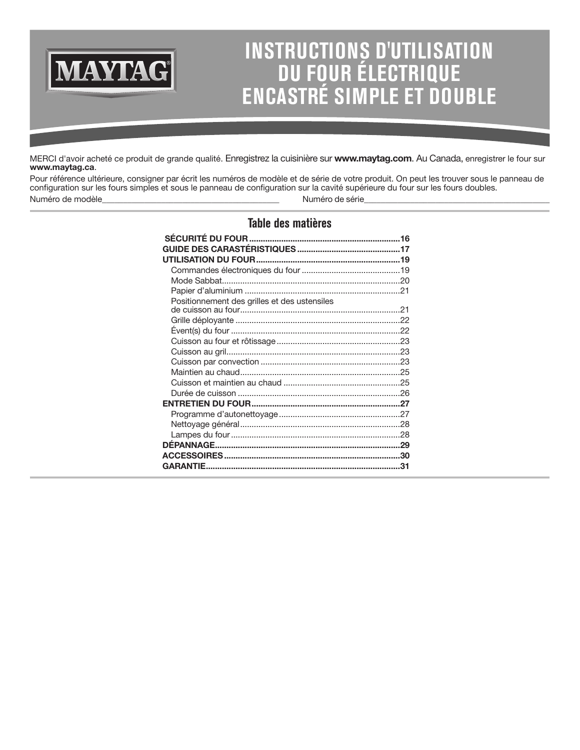# **INSTRUCTIONS D'UTILISATION DU FOUR ÉLECTRIQUE ENCASTRÉ SIMPLE ET DOUBLE**

MERCI d'avoir acheté ce produit de grande qualité. Enregistrez la cuisinière sur **www.maytag.com**. Au Canada, enregistrer le four sur **www.maytag.ca**.

**MAYTAG®** 

Pour référence ultérieure, consigner par écrit les numéros de modèle et de série de votre produit. On peut les trouver sous le panneau de configuration sur les fours simples et sous le panneau de configuration sur la cavité supérieure du four sur les fours doubles. Numéro de modèle entre la component de série de série de série de série de série de série de série de série de

# **Table des matières**

| Positionnement des grilles et des ustensiles |  |
|----------------------------------------------|--|
|                                              |  |
|                                              |  |
|                                              |  |
|                                              |  |
|                                              |  |
|                                              |  |
|                                              |  |
|                                              |  |
|                                              |  |
|                                              |  |
|                                              |  |
|                                              |  |
|                                              |  |
|                                              |  |
|                                              |  |
|                                              |  |
|                                              |  |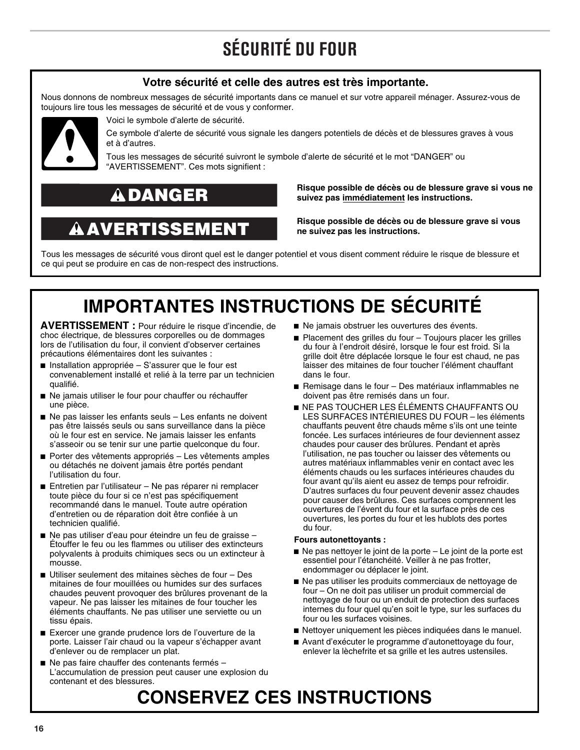# **SÉCURITÉ DU FOUR**

# **Votre sécurité et celle des autres est très importante.**

<span id="page-15-0"></span>Nous donnons de nombreux messages de sécurité importants dans ce manuel et sur votre appareil ménager. Assurez-vous de toujours lire tous les messages de sécurité et de vous y conformer.



Voici le symbole d'alerte de sécurité.

Ce symbole d'alerte de sécurité vous signale les dangers potentiels de décès et de blessures graves à vous et à d'autres.

Tous les messages de sécurité suivront le symbole d'alerte de sécurité et le mot "DANGER" ou "AVERTISSEMENT". Ces mots signifient :

# DANGER

# AVERTISSEMENT

**Risque possible de décès ou de blessure grave si vous ne suivez pas immédiatement les instructions.** 

**Risque possible de décès ou de blessure grave si vous ne suivez pas les instructions.** 

Tous les messages de sécurité vous diront quel est le danger potentiel et vous disent comment réduire le risque de blessure et ce qui peut se produire en cas de non-respect des instructions.

# **IMPORTANTES INSTRUCTIONS DE SÉCURITÉ**

**AVERTISSEMENT :** Pour réduire le risque d'incendie, de choc électrique, de blessures corporelles ou de dommages lors de l'utilisation du four, il convient d'observer certaines précautions élémentaires dont les suivantes :

- Installation appropriée S'assurer que le four est convenablement installé et relié à la terre par un technicien qualifié.
- Ne jamais utiliser le four pour chauffer ou réchauffer une pièce.
- Ne pas laisser les enfants seuls Les enfants ne doivent pas être laissés seuls ou sans surveillance dans la pièce où le four est en service. Ne jamais laisser les enfants s'asseoir ou se tenir sur une partie quelconque du four.
- Porter des vêtements appropriés Les vêtements amples ou détachés ne doivent jamais être portés pendant l'utilisation du four.
- Entretien par l'utilisateur Ne pas réparer ni remplacer toute pièce du four si ce n'est pas spécifiquement recommandé dans le manuel. Toute autre opération d'entretien ou de réparation doit être confiée à un technicien qualifié.
- Ne pas utiliser d'eau pour éteindre un feu de graisse -Étouffer le feu ou les flammes ou utiliser des extincteurs polyvalents à produits chimiques secs ou un extincteur à mousse.
- Utiliser seulement des mitaines sèches de four Des mitaines de four mouillées ou humides sur des surfaces chaudes peuvent provoquer des brûlures provenant de la vapeur. Ne pas laisser les mitaines de four toucher les éléments chauffants. Ne pas utiliser une serviette ou un tissu épais.
- Exercer une grande prudence lors de l'ouverture de la porte. Laisser l'air chaud ou la vapeur s'échapper avant d'enlever ou de remplacer un plat.
- Ne pas faire chauffer des contenants fermés L'accumulation de pression peut causer une explosion du contenant et des blessures.
- Ne jamais obstruer les ouvertures des évents.
- Placement des grilles du four Toujours placer les grilles du four à l'endroit désiré, lorsque le four est froid. Si la grille doit être déplacée lorsque le four est chaud, ne pas laisser des mitaines de four toucher l'élément chauffant dans le four.
- Remisage dans le four Des matériaux inflammables ne doivent pas être remisés dans un four.
- NE PAS TOUCHER LES ÉLÉMENTS CHAUFFANTS OU LES SURFACES INTÉRIEURES DU FOUR – les éléments chauffants peuvent être chauds même s'ils ont une teinte foncée. Les surfaces intérieures de four deviennent assez chaudes pour causer des brûlures. Pendant et après l'utilisation, ne pas toucher ou laisser des vêtements ou autres matériaux inflammables venir en contact avec les éléments chauds ou les surfaces intérieures chaudes du four avant qu'ils aient eu assez de temps pour refroidir. D'autres surfaces du four peuvent devenir assez chaudes pour causer des brûlures. Ces surfaces comprennent les ouvertures de l'évent du four et la surface près de ces ouvertures, les portes du four et les hublots des portes du four.

## **Fours autonettoyants :**

- Ne pas nettoyer le joint de la porte Le joint de la porte est essentiel pour l'étanchéité. Veiller à ne pas frotter, endommager ou déplacer le joint.
- Ne pas utiliser les produits commerciaux de nettoyage de four – On ne doit pas utiliser un produit commercial de nettoyage de four ou un enduit de protection des surfaces internes du four quel qu'en soit le type, sur les surfaces du four ou les surfaces voisines.
- Nettoyer uniquement les pièces indiquées dans le manuel.
- Avant d'exécuter le programme d'autonettoyage du four, enlever la lèchefrite et sa grille et les autres ustensiles.

# **CONSERVEZ CES INSTRUCTIONS**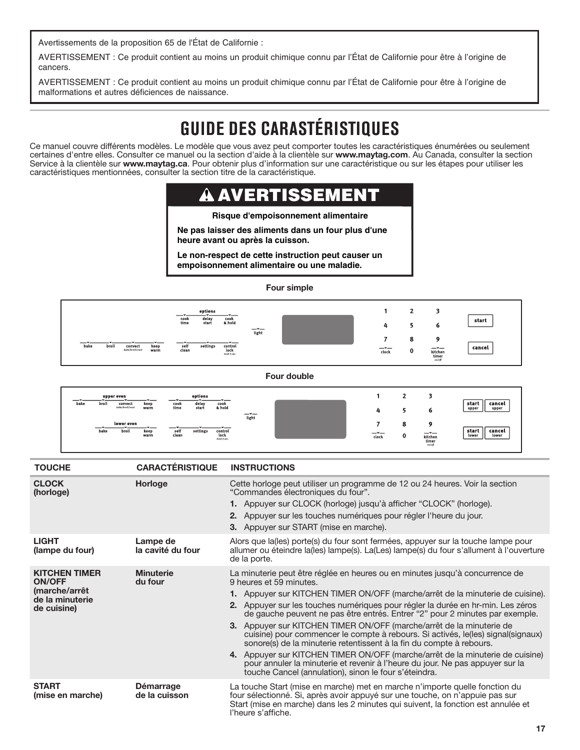<span id="page-16-0"></span>Avertissements de la proposition 65 de l'État de Californie :

AVERTISSEMENT : Ce produit contient au moins un produit chimique connu par l'État de Californie pour être à l'origine de cancers.

AVERTISSEMENT : Ce produit contient au moins un produit chimique connu par l'État de Californie pour être à l'origine de malformations et autres déficiences de naissance.

# **GUIDE DES CARASTÉRISTIQUES**

Ce manuel couvre différents modèles. Le modèle que vous avez peut comporter toutes les caractéristiques énumérées ou seulement certaines d'entre elles. Consulter ce manuel ou la section d'aide à la clientèle sur **www.maytag.com**. Au Canada, consulter la section Service à la clientèle sur **www.maytag.ca**. Pour obtenir plus d'information sur une caractéristique ou sur les étapes pour utiliser les caractéristiques mentionnées, consulter la section titre de la caractéristique.

#### A AVERTISSEME

#### **Risque d'empoisonnement alimentaire**

**Ne pas laisser des aliments dans un four plus d'une heure avant ou après la cuisson.**

**Le non-respect de cette instruction peut causer un empoisonnement alimentaire ou une maladie.**

#### **Four simple**

|                                                                   | options<br>---<br>╼<br>delay<br>cook<br>cook<br>time<br>& hold<br>start                                                            | $ -$  | 4                     |                                                                                                          | start            |
|-------------------------------------------------------------------|------------------------------------------------------------------------------------------------------------------------------------|-------|-----------------------|----------------------------------------------------------------------------------------------------------|------------------|
| ╼<br>bake<br>broil<br>convect<br>keep<br>warm<br>bake/broil/roast | –™—<br>—≖<br>self<br>clean<br>$\begin{array}{c} \textbf{control} \\ \textbf{lock} \\ \textit{hold 3 sec.} \end{array}$<br>settings | light | $\frac{1}{\sqrt{10}}$ | $\begin{array}{c}\n\textbf{Kitchen} \\ \textbf{timer} \\ \textbf{fimer} \\ \textit{on/off}\n\end{array}$ | $\sim$<br>cancel |

**Four double**

| upper oven<br>broil<br>bake | <u>__</u><br>convect<br>keep<br>bake/broil/roast<br>warm | cook<br>time       | options<br>delay<br>start | ∼—<br>cook<br>& hold           | $-1$<br>light |               |        | o                                       | start<br>cancel<br>upper<br>upper |
|-----------------------------|----------------------------------------------------------|--------------------|---------------------------|--------------------------------|---------------|---------------|--------|-----------------------------------------|-----------------------------------|
| bake                        | lower oven<br>. <del>.</del><br>broil<br>keep<br>warm    | ╼<br>self<br>clean | settings                  | control<br>lock<br>hold 3 sec. |               | $ -$<br>clock | ۰<br>0 | o<br>$-1$<br>kitchen<br>timer<br>on/off | start<br>cancel<br>lower<br>lower |

| <b>TOUCHE</b>                                                                            | <b>CARACTÉRISTIQUE</b>            | <b>INSTRUCTIONS</b>                                                                                                                                                                                                                                                                                                                                                                                                                                                                                                                                                                                                                                                                                                                                                                                                         |
|------------------------------------------------------------------------------------------|-----------------------------------|-----------------------------------------------------------------------------------------------------------------------------------------------------------------------------------------------------------------------------------------------------------------------------------------------------------------------------------------------------------------------------------------------------------------------------------------------------------------------------------------------------------------------------------------------------------------------------------------------------------------------------------------------------------------------------------------------------------------------------------------------------------------------------------------------------------------------------|
| <b>CLOCK</b><br>(horloge)                                                                | Horloge                           | Cette horloge peut utiliser un programme de 12 ou 24 heures. Voir la section<br>"Commandes électroniques du four".<br>1. Appuyer sur CLOCK (horloge) jusqu'à afficher "CLOCK" (horloge).<br>2. Appuyer sur les touches numériques pour régler l'heure du jour.<br><b>3.</b> Appuyer sur START (mise en marche).                                                                                                                                                                                                                                                                                                                                                                                                                                                                                                             |
| <b>LIGHT</b><br>(lampe du four)                                                          | Lampe de<br>la cavité du four     | Alors que la(les) porte(s) du four sont fermées, appuyer sur la touche lampe pour<br>allumer ou éteindre la(les) lampe(s). La(Les) lampe(s) du four s'allument à l'ouverture<br>de la porte.                                                                                                                                                                                                                                                                                                                                                                                                                                                                                                                                                                                                                                |
| <b>KITCHEN TIMER</b><br><b>ON/OFF</b><br>(marche/arrêt<br>de la minuterie<br>de cuisine) | <b>Minuterie</b><br>du four       | La minuterie peut être réglée en heures ou en minutes jusqu'à concurrence de<br>9 heures et 59 minutes.<br>1. Appuyer sur KITCHEN TIMER ON/OFF (marche/arrêt de la minuterie de cuisine).<br>2. Appuyer sur les touches numériques pour régler la durée en hr-min. Les zéros<br>de gauche peuvent ne pas être entrés. Entrer "2" pour 2 minutes par exemple.<br>3. Appuyer sur KITCHEN TIMER ON/OFF (marche/arrêt de la minuterie de<br>cuisine) pour commencer le compte à rebours. Si activés, le(les) signal(signaux)<br>sonore(s) de la minuterie retentissent à la fin du compte à rebours.<br>4. Appuyer sur KITCHEN TIMER ON/OFF (marche/arrêt de la minuterie de cuisine)<br>pour annuler la minuterie et revenir à l'heure du jour. Ne pas appuyer sur la<br>touche Cancel (annulation), sinon le four s'éteindra. |
| <b>START</b><br>(mise en marche)                                                         | <b>Démarrage</b><br>de la cuisson | La touche Start (mise en marche) met en marche n'importe quelle fonction du<br>four sélectionné. Si, après avoir appuyé sur une touche, on n'appuie pas sur<br>Start (mise en marche) dans les 2 minutes qui suivent, la fonction est annulée et<br>l'heure s'affiche.                                                                                                                                                                                                                                                                                                                                                                                                                                                                                                                                                      |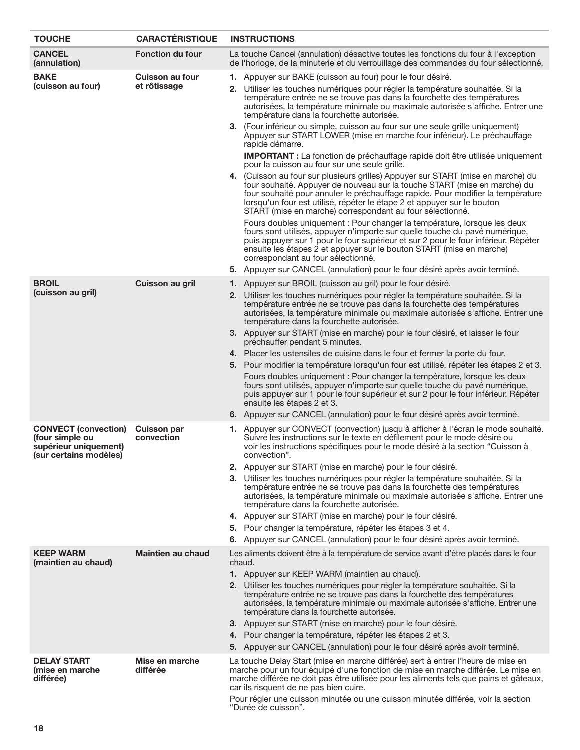| <b>TOUCHE</b>                                                                                     | <b>CARACTÉRISTIQUE</b>                 | <b>INSTRUCTIONS</b>                                                                                                                                                                                                                                                                                                                                                                                                                                                  |  |  |
|---------------------------------------------------------------------------------------------------|----------------------------------------|----------------------------------------------------------------------------------------------------------------------------------------------------------------------------------------------------------------------------------------------------------------------------------------------------------------------------------------------------------------------------------------------------------------------------------------------------------------------|--|--|
| <b>CANCEL</b><br>(annulation)                                                                     | <b>Fonction du four</b>                | La touche Cancel (annulation) désactive toutes les fonctions du four à l'exception<br>de l'horloge, de la minuterie et du verrouillage des commandes du four sélectionné.                                                                                                                                                                                                                                                                                            |  |  |
| <b>BAKE</b><br>(cuisson au four)                                                                  | <b>Cuisson au four</b><br>et rôtissage | 1. Appuyer sur BAKE (cuisson au four) pour le four désiré.<br>2. Utiliser les touches numériques pour régler la température souhaitée. Si la<br>température entrée ne se trouve pas dans la fourchette des températures<br>autorisées, la température minimale ou maximale autorisée s'affiche. Entrer une<br>température dans la fourchette autorisée.                                                                                                              |  |  |
|                                                                                                   |                                        | 3. (Four inférieur ou simple, cuisson au four sur une seule grille uniquement)<br>Appuyer sur START LOWER (mise en marche four inférieur). Le préchauffage<br>rapide démarre.<br><b>IMPORTANT</b> : La fonction de préchauffage rapide doit être utilisée uniquement                                                                                                                                                                                                 |  |  |
|                                                                                                   |                                        | pour la cuisson au four sur une seule grille.                                                                                                                                                                                                                                                                                                                                                                                                                        |  |  |
|                                                                                                   |                                        | 4. (Cuisson au four sur plusieurs grilles) Appuyer sur START (mise en marche) du<br>four souhaité. Appuyer de nouveau sur la touche START (mise en marche) du<br>four souhaité pour annuler le préchauffage rapide. Pour modifier la température<br>lorsqu'un four est utilisé, répéter le étape 2 et appuyer sur le bouton<br>START (mise en marche) correspondant au four sélectionné.<br>Fours doubles uniquement : Pour changer la température, lorsque les deux |  |  |
|                                                                                                   |                                        | fours sont utilisés, appuyer n'importe sur quelle touche du pavé numérique,<br>puis appuyer sur 1 pour le four supérieur et sur 2 pour le four inférieur. Répéter<br>ensuite les étapes 2 et appuyer sur le bouton START (mise en marche)<br>correspondant au four sélectionné.                                                                                                                                                                                      |  |  |
|                                                                                                   |                                        | 5. Appuyer sur CANCEL (annulation) pour le four désiré après avoir terminé.                                                                                                                                                                                                                                                                                                                                                                                          |  |  |
| <b>BROIL</b><br>(cuisson au gril)                                                                 | <b>Cuisson au gril</b>                 | 1. Appuyer sur BROIL (cuisson au gril) pour le four désiré.                                                                                                                                                                                                                                                                                                                                                                                                          |  |  |
|                                                                                                   |                                        | 2. Utiliser les touches numériques pour régler la température souhaitée. Si la<br>température entrée ne se trouve pas dans la fourchette des températures<br>autorisées, la température minimale ou maximale autorisée s'affiche. Entrer une<br>température dans la fourchette autorisée.                                                                                                                                                                            |  |  |
|                                                                                                   |                                        | 3. Appuyer sur START (mise en marche) pour le four désiré, et laisser le four<br>préchauffer pendant 5 minutes.                                                                                                                                                                                                                                                                                                                                                      |  |  |
|                                                                                                   |                                        | 4. Placer les ustensiles de cuisine dans le four et fermer la porte du four.                                                                                                                                                                                                                                                                                                                                                                                         |  |  |
|                                                                                                   |                                        | 5. Pour modifier la température lorsqu'un four est utilisé, répéter les étapes 2 et 3.                                                                                                                                                                                                                                                                                                                                                                               |  |  |
|                                                                                                   |                                        | Fours doubles uniquement : Pour changer la température, lorsque les deux<br>fours sont utilisés, appuyer n'importe sur quelle touche du pavé numérique,<br>puis appuyer sur 1 pour le four supérieur et sur 2 pour le four inférieur. Répéter<br>ensuite les étapes 2 et 3.                                                                                                                                                                                          |  |  |
|                                                                                                   |                                        | 6. Appuyer sur CANCEL (annulation) pour le four désiré après avoir terminé.                                                                                                                                                                                                                                                                                                                                                                                          |  |  |
| <b>CONVECT</b> (convection)<br>(four simple ou<br>supérieur uniquement)<br>(sur certains modèles) | <b>Cuisson par</b><br>convection       | 1. Appuyer sur CONVECT (convection) jusqu'à afficher à l'écran le mode souhaité.<br>Suivre les instructions sur le texte en défilement pour le mode désiré ou<br>voir les instructions spécifiques pour le mode désiré à la section "Cuisson à<br>convection".                                                                                                                                                                                                       |  |  |
|                                                                                                   |                                        | 2. Appuyer sur START (mise en marche) pour le four désiré.<br>3. Utiliser les touches numériques pour régler la température souhaitée. Si la<br>température entrée ne se trouve pas dans la fourchette des températures<br>autorisées, la température minimale ou maximale autorisée s'affiche. Entrer une<br>température dans la fourchette autorisée.                                                                                                              |  |  |
|                                                                                                   |                                        | 4. Appuyer sur START (mise en marche) pour le four désiré.                                                                                                                                                                                                                                                                                                                                                                                                           |  |  |
|                                                                                                   |                                        | 5. Pour changer la température, répéter les étapes 3 et 4.                                                                                                                                                                                                                                                                                                                                                                                                           |  |  |
|                                                                                                   |                                        | 6. Appuyer sur CANCEL (annulation) pour le four désiré après avoir terminé.                                                                                                                                                                                                                                                                                                                                                                                          |  |  |
| <b>KEEP WARM</b><br>(maintien au chaud)                                                           | <b>Maintien au chaud</b>               | Les aliments doivent être à la température de service avant d'être placés dans le four<br>chaud.                                                                                                                                                                                                                                                                                                                                                                     |  |  |
|                                                                                                   |                                        | 1. Appuyer sur KEEP WARM (maintien au chaud).                                                                                                                                                                                                                                                                                                                                                                                                                        |  |  |
|                                                                                                   |                                        | 2. Utiliser les touches numériques pour régler la température souhaitée. Si la<br>température entrée ne se trouve pas dans la fourchette des températures<br>autorisées, la température minimale ou maximale autorisée s'affiche. Entrer une<br>température dans la fourchette autorisée.                                                                                                                                                                            |  |  |
|                                                                                                   |                                        | 3. Appuyer sur START (mise en marche) pour le four désiré.                                                                                                                                                                                                                                                                                                                                                                                                           |  |  |
|                                                                                                   |                                        | 4. Pour changer la température, répéter les étapes 2 et 3.<br>5. Appuyer sur CANCEL (annulation) pour le four désiré après avoir terminé.                                                                                                                                                                                                                                                                                                                            |  |  |
|                                                                                                   |                                        |                                                                                                                                                                                                                                                                                                                                                                                                                                                                      |  |  |
| <b>DELAY START</b><br>(mise en marche<br>différée)                                                | Mise en marche<br>différée             | La touche Delay Start (mise en marche différée) sert à entrer l'heure de mise en<br>marche pour un four équipé d'une fonction de mise en marche différée. Le mise en<br>marche différée ne doit pas être utilisée pour les aliments tels que pains et gâteaux,<br>car ils risquent de ne pas bien cuire.                                                                                                                                                             |  |  |
|                                                                                                   |                                        | Pour régler une cuisson minutée ou une cuisson minutée différée, voir la section<br>"Durée de cuisson".                                                                                                                                                                                                                                                                                                                                                              |  |  |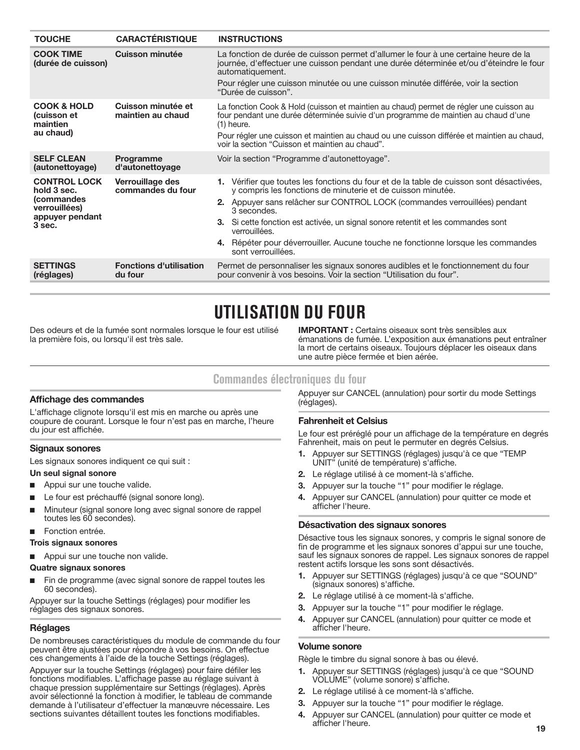<span id="page-18-0"></span>

| <b>TOUCHE</b>                                                                                  | <b>CARACTÉRISTIQUE</b>                    | <b>INSTRUCTIONS</b>                                                                                                                                                                                                                                                                                                                                                                                                                                                  |
|------------------------------------------------------------------------------------------------|-------------------------------------------|----------------------------------------------------------------------------------------------------------------------------------------------------------------------------------------------------------------------------------------------------------------------------------------------------------------------------------------------------------------------------------------------------------------------------------------------------------------------|
| <b>COOK TIME</b><br>(durée de cuisson)                                                         | <b>Cuisson minutée</b>                    | La fonction de durée de cuisson permet d'allumer le four à une certaine heure de la<br>journée, d'effectuer une cuisson pendant une durée déterminée et/ou d'éteindre le four<br>automatiquement.<br>Pour régler une cuisson minutée ou une cuisson minutée différée, voir la section<br>"Durée de cuisson".                                                                                                                                                         |
| <b>COOK &amp; HOLD</b><br>(cuisson et<br>maintien<br>au chaud)                                 | Cuisson minutée et<br>maintien au chaud   | La fonction Cook & Hold (cuisson et maintien au chaud) permet de régler une cuisson au<br>four pendant une durée déterminée suivie d'un programme de maintien au chaud d'une<br>$(1)$ heure.<br>Pour régler une cuisson et maintien au chaud ou une cuisson différée et maintien au chaud,<br>voir la section "Cuisson et maintien au chaud".                                                                                                                        |
| <b>SELF CLEAN</b><br>(autonettoyage)                                                           | Programme<br>d'autonettoyage              | Voir la section "Programme d'autonettoyage".                                                                                                                                                                                                                                                                                                                                                                                                                         |
| <b>CONTROL LOCK</b><br>hold 3 sec.<br>(commandes<br>verrouillées)<br>appuyer pendant<br>3 sec. | Verrouillage des<br>commandes du four     | 1. Vérifier que toutes les fonctions du four et de la table de cuisson sont désactivées,<br>y compris les fonctions de minuterie et de cuisson minutée.<br>2. Appuyer sans relâcher sur CONTROL LOCK (commandes verrouillées) pendant<br>3 secondes.<br>3. Si cette fonction est activée, un signal sonore retentit et les commandes sont<br>verrouillées.<br>4. Répéter pour déverrouiller. Aucune touche ne fonctionne lorsque les commandes<br>sont verrouillées. |
| <b>SETTINGS</b><br>(réglages)                                                                  | <b>Fonctions d'utilisation</b><br>du four | Permet de personnaliser les signaux sonores audibles et le fonctionnement du four<br>pour convenir à vos besoins. Voir la section "Utilisation du four".                                                                                                                                                                                                                                                                                                             |

# **UTILISATION DU FOUR**

Des odeurs et de la fumée sont normales lorsque le four est utilisé la première fois, ou lorsqu'il est très sale.

**IMPORTANT :** Certains oiseaux sont très sensibles aux émanations de fumée. L'exposition aux émanations peut entraîner la mort de certains oiseaux. Toujours déplacer les oiseaux dans une autre pièce fermée et bien aérée.

# **Commandes électroniques du four**

## **Affichage des commandes**

L'affichage clignote lorsqu'il est mis en marche ou après une coupure de courant. Lorsque le four n'est pas en marche, l'heure du jour est affichée.

#### **Signaux sonores**

Les signaux sonores indiquent ce qui suit :

#### **Un seul signal sonore**

- Appui sur une touche valide.
- Le four est préchauffé (signal sonore long).
- Minuteur (signal sonore long avec signal sonore de rappel toutes les 60 secondes).

#### Fonction entrée.

- **Trois signaux sonores**
- Appui sur une touche non valide.

#### **Quatre signaux sonores**

Fin de programme (avec signal sonore de rappel toutes les 60 secondes).

Appuyer sur la touche Settings (réglages) pour modifier les réglages des signaux sonores.

#### **Réglages**

De nombreuses caractéristiques du module de commande du four peuvent être ajustées pour répondre à vos besoins. On effectue ces changements à l'aide de la touche Settings (réglages).

Appuyer sur la touche Settings (réglages) pour faire défiler les fonctions modifiables. L'affichage passe au réglage suivant à chaque pression supplémentaire sur Settings (réglages). Après avoir sélectionné la fonction à modifier, le tableau de commande demande à l'utilisateur d'effectuer la manœuvre nécessaire. Les sections suivantes détaillent toutes les fonctions modifiables.

Appuyer sur CANCEL (annulation) pour sortir du mode Settings (réglages).

## **Fahrenheit et Celsius**

Le four est préréglé pour un affichage de la température en degrés Fahrenheit, mais on peut le permuter en degrés Celsius.

- **1.** Appuyer sur SETTINGS (réglages) jusqu'à ce que "TEMP UNIT" (unité de température) s'affiche.
- **2.** Le réglage utilisé à ce moment-là s'affiche.
- **3.** Appuyer sur la touche "1" pour modifier le réglage.
- **4.** Appuyer sur CANCEL (annulation) pour quitter ce mode et afficher l'heure.

### **Désactivation des signaux sonores**

Désactive tous les signaux sonores, y compris le signal sonore de fin de programme et les signaux sonores d'appui sur une touche, sauf les signaux sonores de rappel. Les signaux sonores de rappel restent actifs lorsque les sons sont désactivés.

- **1.** Appuyer sur SETTINGS (réglages) jusqu'à ce que "SOUND" (signaux sonores) s'affiche.
- **2.** Le réglage utilisé à ce moment-là s'affiche.
- **3.** Appuyer sur la touche "1" pour modifier le réglage.
- **4.** Appuyer sur CANCEL (annulation) pour quitter ce mode et afficher l'heure.

#### **Volume sonore**

Règle le timbre du signal sonore à bas ou élevé.

- **1.** Appuyer sur SETTINGS (réglages) jusqu'à ce que "SOUND VOLUME" (volume sonore) s'affiche.
- **2.** Le réglage utilisé à ce moment-là s'affiche.
- **3.** Appuyer sur la touche "1" pour modifier le réglage.
- **4.** Appuyer sur CANCEL (annulation) pour quitter ce mode et afficher l'heure.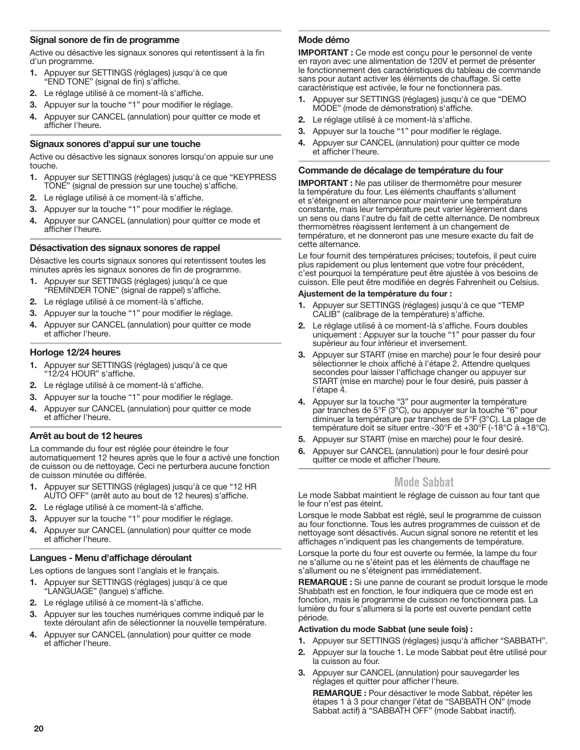## <span id="page-19-0"></span>**Signal sonore de fin de programme**

Active ou désactive les signaux sonores qui retentissent à la fin d'un programme.

- **1.** Appuyer sur SETTINGS (réglages) jusqu'à ce que "END TONE" (signal de fin) s'affiche.
- **2.** Le réglage utilisé à ce moment-là s'affiche.
- **3.** Appuyer sur la touche "1" pour modifier le réglage.
- **4.** Appuyer sur CANCEL (annulation) pour quitter ce mode et afficher l'heure.

### **Signaux sonores d'appui sur une touche**

Active ou désactive les signaux sonores lorsqu'on appuie sur une touche.

- **1.** Appuyer sur SETTINGS (réglages) jusqu'à ce que "KEYPRESS TONE" (signal de pression sur une touche) s'affiche.
- **2.** Le réglage utilisé à ce moment-là s'affiche.
- **3.** Appuyer sur la touche "1" pour modifier le réglage.
- **4.** Appuyer sur CANCEL (annulation) pour quitter ce mode et afficher l'heure.

### **Désactivation des signaux sonores de rappel**

Désactive les courts signaux sonores qui retentissent toutes les minutes après les signaux sonores de fin de programme.

- **1.** Appuyer sur SETTINGS (réglages) jusqu'à ce que "REMINDER TONE" (signal de rappel) s'affiche.
- **2.** Le réglage utilisé à ce moment-là s'affiche.
- **3.** Appuyer sur la touche "1" pour modifier le réglage.
- **4.** Appuyer sur CANCEL (annulation) pour quitter ce mode et afficher l'heure.

#### **Horloge 12/24 heures**

- **1.** Appuyer sur SETTINGS (réglages) jusqu'à ce que "12/24 HOUR" s'affiche.
- **2.** Le réglage utilisé à ce moment-là s'affiche.
- **3.** Appuyer sur la touche "1" pour modifier le réglage.
- **4.** Appuyer sur CANCEL (annulation) pour quitter ce mode et afficher l'heure.

## **Arrêt au bout de 12 heures**

La commande du four est réglée pour éteindre le four automatiquement 12 heures après que le four a activé une fonction de cuisson ou de nettoyage. Ceci ne perturbera aucune fonction de cuisson minutée ou différée.

- **1.** Appuyer sur SETTINGS (réglages) jusqu'à ce que "12 HR AUTO OFF" (arrêt auto au bout de 12 heures) s'affiche.
- **2.** Le réglage utilisé à ce moment-là s'affiche.
- **3.** Appuyer sur la touche "1" pour modifier le réglage.
- **4.** Appuyer sur CANCEL (annulation) pour quitter ce mode et afficher l'heure.

#### **Langues - Menu d'affichage déroulant**

Les options de langues sont l'anglais et le français.

- **1.** Appuyer sur SETTINGS (réglages) jusqu'à ce que "LANGUAGE" (langue) s'affiche.
- **2.** Le réglage utilisé à ce moment-là s'affiche.
- **3.** Appuyer sur les touches numériques comme indiqué par le texte déroulant afin de sélectionner la nouvelle température.
- **4.** Appuyer sur CANCEL (annulation) pour quitter ce mode et afficher l'heure.

### **Mode démo**

**IMPORTANT :** Ce mode est conçu pour le personnel de vente en rayon avec une alimentation de 120V et permet de présenter le fonctionnement des caractéristiques du tableau de commande sans pour autant activer les éléments de chauffage. Si cette caractéristique est activée, le four ne fonctionnera pas.

- **1.** Appuyer sur SETTINGS (réglages) jusqu'à ce que "DEMO MODE" (mode de démonstration) s'affiche.
- **2.** Le réglage utilisé à ce moment-là s'affiche.
- **3.** Appuyer sur la touche "1" pour modifier le réglage.
- **4.** Appuyer sur CANCEL (annulation) pour quitter ce mode et afficher l'heure.

#### **Commande de décalage de température du four**

**IMPORTANT :** Ne pas utiliser de thermomètre pour mesurer la température du four. Les éléments chauffants s'allument et s'éteignent en alternance pour maintenir une température constante, mais leur température peut varier légèrement dans un sens ou dans l'autre du fait de cette alternance. De nombreux thermomètres réagissent lentement à un changement de température, et ne donneront pas une mesure exacte du fait de cette alternance.

Le four fournit des températures précises; toutefois, il peut cuire plus rapidement ou plus lentement que votre four précédent, c'est pourquoi la température peut être ajustée à vos besoins de cuisson. Elle peut être modifiée en degrés Fahrenheit ou Celsius.

#### **Ajustement de la température du four :**

- **1.** Appuyer sur SETTINGS (réglages) jusqu'à ce que "TEMP CALIB" (calibrage de la température) s'affiche.
- **2.** Le réglage utilisé à ce moment-là s'affiche. Fours doubles uniquement : Appuyer sur la touche "1" pour passer du four supérieur au four inférieur et inversement.
- **3.** Appuyer sur START (mise en marche) pour le four desiré pour sélectionner le choix affiché à l'étape 2. Attendre quelques secondes pour laisser l'affichage changer ou appuyer sur START (mise en marche) pour le four desiré, puis passer à l'étape 4.
- **4.** Appuyer sur la touche "3" pour augmenter la température par tranches de 5°F (3°C), ou appuyer sur la touche "6" pour diminuer la température par tranches de 5°F (3°C). La plage de température doit se situer entre -30°F et +30°F (-18°C à +18°C).
- **5.** Appuyer sur START (mise en marche) pour le four desiré.
- **6.** Appuyer sur CANCEL (annulation) pour le four desiré pour quitter ce mode et afficher l'heure.

# **Mode Sabbat**

Le mode Sabbat maintient le réglage de cuisson au four tant que le four n'est pas éteint.

Lorsque le mode Sabbat est réglé, seul le programme de cuisson au four fonctionne. Tous les autres programmes de cuisson et de nettoyage sont désactivés. Aucun signal sonore ne retentit et les affichages n'indiquent pas les changements de température.

Lorsque la porte du four est ouverte ou fermée, la lampe du four ne s'allume ou ne s'éteint pas et les éléments de chauffage ne s'allument ou ne s'éteignent pas immédiatement.

**REMARQUE :** Si une panne de courant se produit lorsque le mode Shabbath est en fonction, le four indiquera que ce mode est en fonction, mais le programme de cuisson ne fonctionnera pas. La lumière du four s'allumera si la porte est ouverte pendant cette période.

#### **Activation du mode Sabbat (une seule fois) :**

- **1.** Appuyer sur SETTINGS (réglages) jusqu'à afficher "SABBATH".
- **2.** Appuyer sur la touche 1. Le mode Sabbat peut être utilisé pour la cuisson au four.
- **3.** Appuyer sur CANCEL (annulation) pour sauvegarder les réglages et quitter pour afficher l'heure.

**REMARQUE :** Pour désactiver le mode Sabbat, répéter les étapes 1 à 3 pour changer l'état de "SABBATH ON" (mode Sabbat actif) à "SABBATH OFF" (mode Sabbat inactif).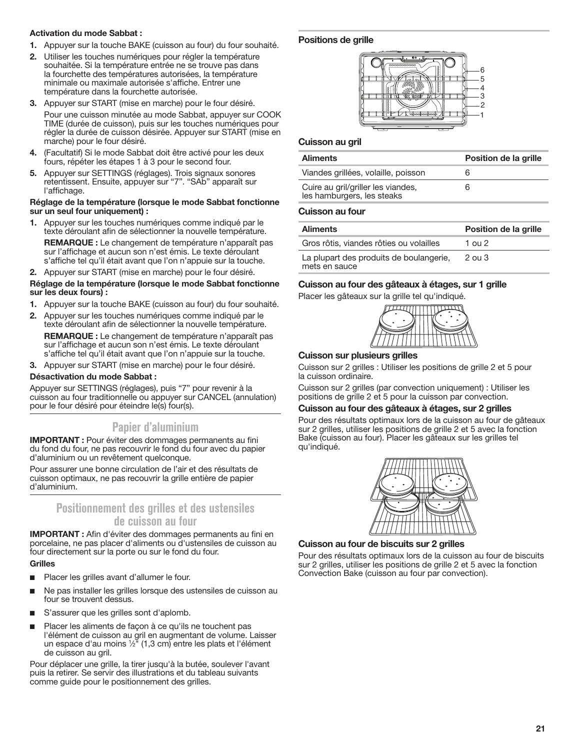#### <span id="page-20-0"></span>**Activation du mode Sabbat :**

- **1.** Appuyer sur la touche BAKE (cuisson au four) du four souhaité.
- **2.** Utiliser les touches numériques pour régler la température souhaitée. Si la température entrée ne se trouve pas dans la fourchette des températures autorisées, la température minimale ou maximale autorisée s'affiche. Entrer une température dans la fourchette autorisée.
- **3.** Appuyer sur START (mise en marche) pour le four désiré. Pour une cuisson minutée au mode Sabbat, appuyer sur COOK TIME (durée de cuisson), puis sur les touches numériques pour régler la durée de cuisson désirée. Appuyer sur START (mise en marche) pour le four désiré.
- **4.** (Facultatif) Si le mode Sabbat doit être activé pour les deux fours, répéter les étapes 1 à 3 pour le second four.
- **5.** Appuyer sur SETTINGS (réglages). Trois signaux sonores retentissent. Ensuite, appuyer sur "7". "SAb" apparaît sur l'affichage.

#### **Réglage de la température (lorsque le mode Sabbat fonctionne sur un seul four uniquement) :**

- **1.** Appuyer sur les touches numériques comme indiqué par le texte déroulant afin de sélectionner la nouvelle température.
	- **REMARQUE :** Le changement de température n'apparaît pas sur l'affichage et aucun son n'est émis. Le texte déroulant s'affiche tel qu'il était avant que l'on n'appuie sur la touche.
- **2.** Appuyer sur START (mise en marche) pour le four désiré.

#### **Réglage de la température (lorsque le mode Sabbat fonctionne sur les deux fours) :**

- **1.** Appuyer sur la touche BAKE (cuisson au four) du four souhaité.
- **2.** Appuyer sur les touches numériques comme indiqué par le texte déroulant afin de sélectionner la nouvelle température.
	- **REMARQUE :** Le changement de température n'apparaît pas sur l'affichage et aucun son n'est émis. Le texte déroulant s'affiche tel qu'il était avant que l'on n'appuie sur la touche.
- **3.** Appuyer sur START (mise en marche) pour le four désiré.

#### **Désactivation du mode Sabbat :**

Appuyer sur SETTINGS (réglages), puis "7" pour revenir à la cuisson au four traditionnelle ou appuyer sur CANCEL (annulation) pour le four désiré pour éteindre le(s) four(s).

# **Papier d'aluminium**

**IMPORTANT :** Pour éviter des dommages permanents au fini du fond du four, ne pas recouvrir le fond du four avec du papier d'aluminium ou un revêtement quelconque.

Pour assurer une bonne circulation de l'air et des résultats de cuisson optimaux, ne pas recouvrir la grille entière de papier d'aluminium.

# **Positionnement des grilles et des ustensiles de cuisson au four**

**IMPORTANT :** Afin d'éviter des dommages permanents au fini en porcelaine, ne pas placer d'aliments ou d'ustensiles de cuisson au four directement sur la porte ou sur le fond du four.

#### **Grilles**

- Placer les grilles avant d'allumer le four.
- Ne pas installer les grilles lorsque des ustensiles de cuisson au four se trouvent dessus.
- S'assurer que les grilles sont d'aplomb.
- Placer les aliments de façon à ce qu'ils ne touchent pas l'élément de cuisson au gril en augmentant de volume. Laisser un espace d'au moins <sup>1</sup> ⁄2" (1,3 cm) entre les plats et l'élément de cuisson au gril.

Pour déplacer une grille, la tirer jusqu'à la butée, soulever l'avant puis la retirer. Se servir des illustrations et du tableau suivants comme guide pour le positionnement des grilles.

#### **Positions de grille**



#### **Cuisson au gril**

| <b>Aliments</b>                                                  | Position de la grille |
|------------------------------------------------------------------|-----------------------|
| Viandes grillées, volaille, poisson                              |                       |
| Cuire au gril/griller les viandes,<br>les hamburgers, les steaks |                       |

#### **Cuisson au four**

| <b>Aliments</b>                                          | Position de la grille |
|----------------------------------------------------------|-----------------------|
| Gros rôtis, viandes rôties ou volailles                  | 1 ou 2                |
| La plupart des produits de boulangerie.<br>mets en sauce | $2$ ou $3$            |

# **Cuisson au four des gâteaux à étages, sur 1 grille**

Placer les gâteaux sur la grille tel qu'indiqué.



#### **Cuisson sur plusieurs grilles**

Cuisson sur 2 grilles : Utiliser les positions de grille 2 et 5 pour la cuisson ordinaire.

Cuisson sur 2 grilles (par convection uniquement) : Utiliser les positions de grille 2 et 5 pour la cuisson par convection.

### **Cuisson au four des gâteaux à étages, sur 2 grilles**

Pour des résultats optimaux lors de la cuisson au four de gâteaux sur 2 grilles, utiliser les positions de grille 2 et 5 avec la fonction Bake (cuisson au four). Placer les gâteaux sur les grilles tel qu'indiqué.



#### **Cuisson au four de biscuits sur 2 grilles**

Pour des résultats optimaux lors de la cuisson au four de biscuits sur 2 grilles, utiliser les positions de grille 2 et 5 avec la fonction Convection Bake (cuisson au four par convection).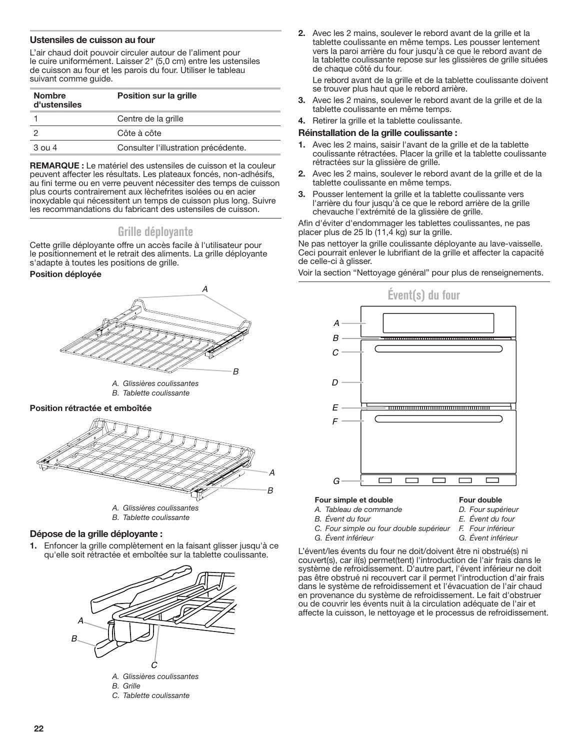#### <span id="page-21-0"></span>**Ustensiles de cuisson au four**

L'air chaud doit pouvoir circuler autour de l'aliment pour le cuire uniformément. Laisser 2" (5,0 cm) entre les ustensiles de cuisson au four et les parois du four. Utiliser le tableau suivant comme guide.

| <b>Nombre</b><br>d'ustensiles | Position sur la grille               |
|-------------------------------|--------------------------------------|
|                               | Centre de la grille                  |
|                               | Côte à côte                          |
| $3$ ou 4                      | Consulter l'illustration précédente. |

**REMARQUE :** Le matériel des ustensiles de cuisson et la couleur peuvent affecter les résultats. Les plateaux foncés, non-adhésifs, au fini terme ou en verre peuvent nécessiter des temps de cuisson plus courts contrairement aux lèchefrites isolées ou en acier inoxydable qui nécessitent un temps de cuisson plus long. Suivre les recommandations du fabricant des ustensiles de cuisson.

# **Grille déployante**

Cette grille déployante offre un accès facile à l'utilisateur pour le positionnement et le retrait des aliments. La grille déployante s'adapte à toutes les positions de grille.

#### **Position déployée**



*A. Glissières coulissantes B. Tablette coulissante*

#### **Position rétractée et emboîtée**



*B. Tablette coulissante*

## **Dépose de la grille déployante :**

**1.** Enfoncer la grille complètement en la faisant glisser jusqu'à ce qu'elle soit rétractée et emboîtée sur la tablette coulissante.



- *B. Grille*
- *C. Tablette coulissante*

**2.** Avec les 2 mains, soulever le rebord avant de la grille et la tablette coulissante en même temps. Les pousser lentement vers la paroi arrière du four jusqu'à ce que le rebord avant de la tablette coulissante repose sur les glissières de grille situées de chaque côté du four.

Le rebord avant de la grille et de la tablette coulissante doivent se trouver plus haut que le rebord arrière.

- **3.** Avec les 2 mains, soulever le rebord avant de la grille et de la tablette coulissante en même temps.
- **4.** Retirer la grille et la tablette coulissante.

#### **Réinstallation de la grille coulissante :**

- **1.** Avec les 2 mains, saisir l'avant de la grille et de la tablette coulissante rétractées. Placer la grille et la tablette coulissante rétractées sur la glissière de grille.
- **2.** Avec les 2 mains, soulever le rebord avant de la grille et de la tablette coulissante en même temps.
- **3.** Pousser lentement la grille et la tablette coulissante vers l'arrière du four jusqu'à ce que le rebord arrière de la grille chevauche l'extrémité de la glissière de grille.

Afin d'éviter d'endommager les tablettes coulissantes, ne pas placer plus de 25 lb (11,4 kg) sur la grille.

Ne pas nettoyer la grille coulissante déployante au lave-vaisselle. Ceci pourrait enlever le lubrifiant de la grille et affecter la capacité de celle-ci à glisser.

Voir la section "Nettoyage général" pour plus de renseignements.



#### **Four simple et double**

- *A. Tableau de commande*
- *B. Évent du four*
- **Four double** *D. Four supérieur*
- *E. Évent du four*
- *C. Four simple ou four double supérieur*
	- *F. Four inférieur G. Évent inférieur*
- *G. Évent inférieur*

#### L'évent/les évents du four ne doit/doivent être ni obstrué(s) ni couvert(s), car il(s) permet(tent) l'introduction de l'air frais dans le système de refroidissement. D'autre part, l'évent inférieur ne doit pas être obstrué ni recouvert car il permet l'introduction d'air frais dans le système de refroidissement et l'évacuation de l'air chaud en provenance du système de refroidissement. Le fait d'obstruer ou de couvrir les évents nuit à la circulation adéquate de l'air et affecte la cuisson, le nettoyage et le processus de refroidissement.

#### **22**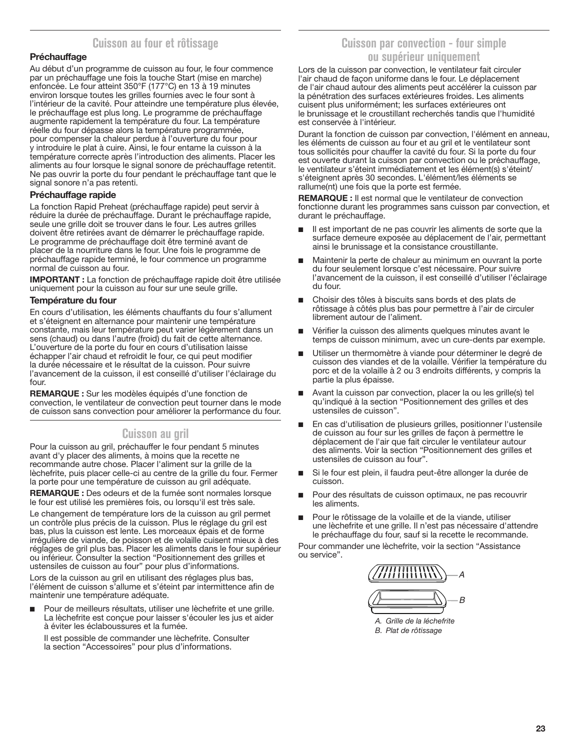# **Cuisson au four et rôtissage**

## <span id="page-22-0"></span>**Préchauffage**

Au début d'un programme de cuisson au four, le four commence par un préchauffage une fois la touche Start (mise en marche) enfoncée. Le four atteint 350°F (177°C) en 13 à 19 minutes environ lorsque toutes les grilles fournies avec le four sont à l'intérieur de la cavité. Pour atteindre une température plus élevée, le préchauffage est plus long. Le programme de préchauffage augmente rapidement la température du four. La température réelle du four dépasse alors la température programmée, pour compenser la chaleur perdue à l'ouverture du four pour y introduire le plat à cuire. Ainsi, le four entame la cuisson à la température correcte après l'introduction des aliments. Placer les aliments au four lorsque le signal sonore de préchauffage retentit. Ne pas ouvrir la porte du four pendant le préchauffage tant que le signal sonore n'a pas retenti.

### **Préchauffage rapide**

La fonction Rapid Preheat (préchauffage rapide) peut servir à réduire la durée de préchauffage. Durant le préchauffage rapide, seule une grille doit se trouver dans le four. Les autres grilles doivent être retirées avant de démarrer le préchauffage rapide. Le programme de préchauffage doit être terminé avant de placer de la nourriture dans le four. Une fois le programme de préchauffage rapide terminé, le four commence un programme normal de cuisson au four.

**IMPORTANT :** La fonction de préchauffage rapide doit être utilisée uniquement pour la cuisson au four sur une seule grille.

### **Température du four**

En cours d'utilisation, les éléments chauffants du four s'allument et s'éteignent en alternance pour maintenir une température constante, mais leur température peut varier légèrement dans un sens (chaud) ou dans l'autre (froid) du fait de cette alternance. L'ouverture de la porte du four en cours d'utilisation laisse échapper l'air chaud et refroidit le four, ce qui peut modifier la durée nécessaire et le résultat de la cuisson. Pour suivre l'avancement de la cuisson, il est conseillé d'utiliser l'éclairage du four.

**REMARQUE :** Sur les modèles équipés d'une fonction de convection, le ventilateur de convection peut tourner dans le mode de cuisson sans convection pour améliorer la performance du four.

# **Cuisson au gril**

Pour la cuisson au gril, préchauffer le four pendant 5 minutes avant d'y placer des aliments, à moins que la recette ne recommande autre chose. Placer l'aliment sur la grille de la lèchefrite, puis placer celle-ci au centre de la grille du four. Fermer la porte pour une température de cuisson au gril adéquate.

**REMARQUE :** Des odeurs et de la fumée sont normales lorsque le four est utilisé les premières fois, ou lorsqu'il est très sale.

Le changement de température lors de la cuisson au gril permet un contrôle plus précis de la cuisson. Plus le réglage du gril est bas, plus la cuisson est lente. Les morceaux épais et de forme irrégulière de viande, de poisson et de volaille cuisent mieux à des réglages de gril plus bas. Placer les aliments dans le four supérieur ou inférieur. Consulter la section "Positionnement des grilles et ustensiles de cuisson au four" pour plus d'informations.

Lors de la cuisson au gril en utilisant des réglages plus bas, l'élément de cuisson s'allume et s'éteint par intermittence afin de maintenir une température adéquate.

Pour de meilleurs résultats, utiliser une lèchefrite et une grille. La lèchefrite est conçue pour laisser s'écouler les jus et aider à éviter les éclaboussures et la fumée.

Il est possible de commander une lèchefrite. Consulter la section "Accessoires" pour plus d'informations.

# **Cuisson par convection - four simple ou supérieur uniquement**

Lors de la cuisson par convection, le ventilateur fait circuler l'air chaud de façon uniforme dans le four. Le déplacement de l'air chaud autour des aliments peut accélérer la cuisson par la pénétration des surfaces extérieures froides. Les aliments cuisent plus uniformément; les surfaces extérieures ont le brunissage et le croustillant recherchés tandis que l'humidité est conservée à l'intérieur.

Durant la fonction de cuisson par convection, l'élément en anneau, les éléments de cuisson au four et au gril et le ventilateur sont tous sollicités pour chauffer la cavité du four. Si la porte du four est ouverte durant la cuisson par convection ou le préchauffage, le ventilateur s'éteint immédiatement et les élément(s) s'éteint/ s'éteignent après 30 secondes. L'élément/les éléments se rallume(nt) une fois que la porte est fermée.

**REMARQUE :** Il est normal que le ventilateur de convection fonctionne durant les programmes sans cuisson par convection, et durant le préchauffage.

- Il est important de ne pas couvrir les aliments de sorte que la surface demeure exposée au déplacement de l'air, permettant ainsi le brunissage et la consistance croustillante.
- Maintenir la perte de chaleur au minimum en ouvrant la porte du four seulement lorsque c'est nécessaire. Pour suivre l'avancement de la cuisson, il est conseillé d'utiliser l'éclairage du four.
- Choisir des tôles à biscuits sans bords et des plats de rôtissage à côtés plus bas pour permettre à l'air de circuler librement autour de l'aliment.
- Vérifier la cuisson des aliments quelques minutes avant le temps de cuisson minimum, avec un cure-dents par exemple.
- Utiliser un thermomètre à viande pour déterminer le degré de cuisson des viandes et de la volaille. Vérifier la température du porc et de la volaille à 2 ou 3 endroits différents, y compris la partie la plus épaisse.
- Avant la cuisson par convection, placer la ou les grille(s) tel qu'indiqué à la section "Positionnement des grilles et des ustensiles de cuisson".
- En cas d'utilisation de plusieurs grilles, positionner l'ustensile de cuisson au four sur les grilles de façon à permettre le déplacement de l'air que fait circuler le ventilateur autour des aliments. Voir la section "Positionnement des grilles et ustensiles de cuisson au four".
- Si le four est plein, il faudra peut-être allonger la durée de cuisson.
- Pour des résultats de cuisson optimaux, ne pas recouvrir les aliments.
- Pour le rôtissage de la volaille et de la viande, utiliser une lèchefrite et une grille. Il n'est pas nécessaire d'attendre le préchauffage du four, sauf si la recette le recommande.

Pour commander une lèchefrite, voir la section "Assistance ou service".



*A. Grille de la léchefrite B. Plat de rôtissage*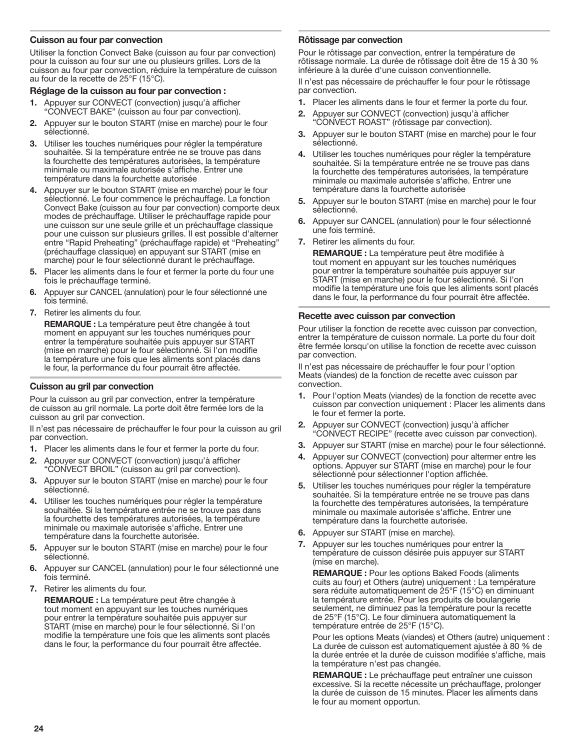#### **Cuisson au four par convection**

Utiliser la fonction Convect Bake (cuisson au four par convection) pour la cuisson au four sur une ou plusieurs grilles. Lors de la cuisson au four par convection, réduire la température de cuisson au four de la recette de 25°F (15°C).

# **Réglage de la cuisson au four par convection :**

- **1.** Appuyer sur CONVECT (convection) jusqu'à afficher "CONVECT BAKE" (cuisson au four par convection).
- **2.** Appuyer sur le bouton START (mise en marche) pour le four sélectionné.
- **3.** Utiliser les touches numériques pour régler la température souhaitée. Si la température entrée ne se trouve pas dans la fourchette des températures autorisées, la température minimale ou maximale autorisée s'affiche. Entrer une température dans la fourchette autorisée
- **4.** Appuyer sur le bouton START (mise en marche) pour le four sélectionné. Le four commence le préchauffage. La fonction Convect Bake (cuisson au four par convection) comporte deux modes de préchauffage. Utiliser le préchauffage rapide pour une cuisson sur une seule grille et un préchauffage classique pour une cuisson sur plusieurs grilles. Il est possible d'alterner entre "Rapid Preheating" (préchauffage rapide) et "Preheating" (préchauffage classique) en appuyant sur START (mise en marche) pour le four sélectionné durant le préchauffage.
- **5.** Placer les aliments dans le four et fermer la porte du four une fois le préchauffage terminé.
- **6.** Appuyer sur CANCEL (annulation) pour le four sélectionné une fois terminé.
- **7.** Retirer les aliments du four.

**REMARQUE :** La température peut être changée à tout moment en appuyant sur les touches numériques pour entrer la température souhaitée puis appuyer sur START (mise en marche) pour le four sélectionné. Si l'on modifie la température une fois que les aliments sont placés dans le four, la performance du four pourrait être affectée.

# **Cuisson au gril par convection**

Pour la cuisson au gril par convection, entrer la température de cuisson au gril normale. La porte doit être fermée lors de la cuisson au gril par convection.

Il n'est pas nécessaire de préchauffer le four pour la cuisson au gril par convection.

- **1.** Placer les aliments dans le four et fermer la porte du four.
- **2.** Appuyer sur CONVECT (convection) jusqu'à afficher "CONVECT BROIL" (cuisson au gril par convection).
- **3.** Appuyer sur le bouton START (mise en marche) pour le four sélectionné.
- **4.** Utiliser les touches numériques pour régler la température souhaitée. Si la température entrée ne se trouve pas dans la fourchette des températures autorisées, la température minimale ou maximale autorisée s'affiche. Entrer une température dans la fourchette autorisée.
- **5.** Appuyer sur le bouton START (mise en marche) pour le four sélectionné.
- **6.** Appuyer sur CANCEL (annulation) pour le four sélectionné une fois terminé.
- **7.** Retirer les aliments du four.

**REMARQUE :** La température peut être changée à tout moment en appuyant sur les touches numériques pour entrer la température souhaitée puis appuyer sur START (mise en marche) pour le four sélectionné. Si l'on modifie la température une fois que les aliments sont placés dans le four, la performance du four pourrait être affectée.

# **Rôtissage par convection**

Pour le rôtissage par convection, entrer la température de rôtissage normale. La durée de rôtissage doit être de 15 à 30 % inférieure à la durée d'une cuisson conventionnelle.

Il n'est pas nécessaire de préchauffer le four pour le rôtissage par convection.

- **1.** Placer les aliments dans le four et fermer la porte du four.
- **2.** Appuyer sur CONVECT (convection) jusqu'à afficher "CONVECT ROAST" (rôtissage par convection).
- **3.** Appuyer sur le bouton START (mise en marche) pour le four sélectionné.
- **4.** Utiliser les touches numériques pour régler la température souhaitée. Si la température entrée ne se trouve pas dans la fourchette des températures autorisées, la température minimale ou maximale autorisée s'affiche. Entrer une température dans la fourchette autorisée
- **5.** Appuyer sur le bouton START (mise en marche) pour le four sélectionné.
- **6.** Appuyer sur CANCEL (annulation) pour le four sélectionné une fois terminé.
- **7.** Retirer les aliments du four.

**REMARQUE :** La température peut être modifiée à tout moment en appuyant sur les touches numériques pour entrer la température souhaitée puis appuyer sur START (mise en marche) pour le four sélectionné. Si l'on modifie la température une fois que les aliments sont placés dans le four, la performance du four pourrait être affectée.

# **Recette avec cuisson par convection**

Pour utiliser la fonction de recette avec cuisson par convection, entrer la température de cuisson normale. La porte du four doit être fermée lorsqu'on utilise la fonction de recette avec cuisson par convection.

Il n'est pas nécessaire de préchauffer le four pour l'option Meats (viandes) de la fonction de recette avec cuisson par convection.

- **1.** Pour l'option Meats (viandes) de la fonction de recette avec cuisson par convection uniquement : Placer les aliments dans le four et fermer la porte.
- **2.** Appuyer sur CONVECT (convection) jusqu'à afficher "CONVECT RECIPE" (recette avec cuisson par convection).
- **3.** Appuyer sur START (mise en marche) pour le four sélectionné.
- **4.** Appuyer sur CONVECT (convection) pour altermer entre les options. Appuyer sur START (mise en marche) pour le four sélectionné pour sélectionner l'option affichée.
- **5.** Utiliser les touches numériques pour régler la température souhaitée. Si la température entrée ne se trouve pas dans la fourchette des températures autorisées, la température minimale ou maximale autorisée s'affiche. Entrer une température dans la fourchette autorisée.
- **6.** Appuyer sur START (mise en marche).
- **7.** Appuyer sur les touches numériques pour entrer la température de cuisson désirée puis appuyer sur START (mise en marche).

**REMARQUE :** Pour les options Baked Foods (aliments cuits au four) et Others (autre) uniquement : La température sera réduite automatiquement de 25°F (15°C) en diminuant la température entrée. Pour les produits de boulangerie seulement, ne diminuez pas la température pour la recette de 25°F (15°C). Le four diminuera automatiquement la température entrée de 25°F (15°C).

Pour les options Meats (viandes) et Others (autre) uniquement : La durée de cuisson est automatiquement ajustée à 80 % de la durée entrée et la durée de cuisson modifiée s'affiche, mais la température n'est pas changée.

**REMARQUE :** Le préchauffage peut entraîner une cuisson excessive. Si la recette nécessite un préchauffage, prolonger la durée de cuisson de 15 minutes. Placer les aliments dans le four au moment opportun.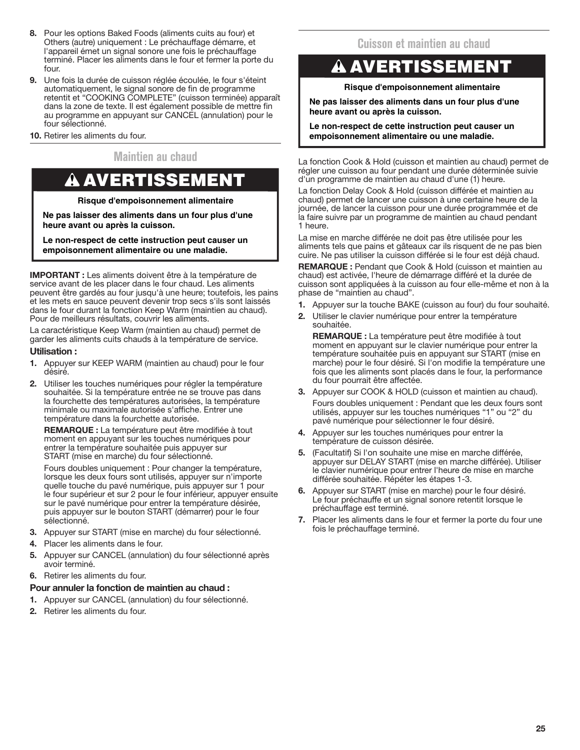- <span id="page-24-0"></span>**8.** Pour les options Baked Foods (aliments cuits au four) et Others (autre) uniquement : Le préchauffage démarre, et l'appareil émet un signal sonore une fois le préchauffage terminé. Placer les aliments dans le four et fermer la porte du four.
- **9.** Une fois la durée de cuisson réglée écoulée, le four s'éteint automatiquement, le signal sonore de fin de programme retentit et "COOKING COMPLETE" (cuisson terminée) apparaît dans la zone de texte. Il est également possible de mettre fin au programme en appuyant sur CANCEL (annulation) pour le four sélectionné.
- **10.** Retirer les aliments du four.

# **Maintien au chaud**

# A AVERTISSEMENT

## **Risque d'empoisonnement alimentaire**

**Ne pas laisser des aliments dans un four plus d'une heure avant ou après la cuisson.**

**Le non-respect de cette instruction peut causer un empoisonnement alimentaire ou une maladie.**

**IMPORTANT :** Les aliments doivent être à la température de service avant de les placer dans le four chaud. Les aliments peuvent être gardés au four jusqu'à une heure; toutefois, les pains et les mets en sauce peuvent devenir trop secs s'ils sont laissés dans le four durant la fonction Keep Warm (maintien au chaud). Pour de meilleurs résultats, couvrir les aliments.

La caractéristique Keep Warm (maintien au chaud) permet de garder les aliments cuits chauds à la température de service.

### **Utilisation :**

- **1.** Appuyer sur KEEP WARM (maintien au chaud) pour le four désiré.
- **2.** Utiliser les touches numériques pour régler la température souhaitée. Si la température entrée ne se trouve pas dans la fourchette des températures autorisées, la température minimale ou maximale autorisée s'affiche. Entrer une température dans la fourchette autorisée.

**REMARQUE :** La température peut être modifiée à tout moment en appuyant sur les touches numériques pour entrer la température souhaitée puis appuyer sur START (mise en marche) du four sélectionné.

Fours doubles uniquement : Pour changer la température, lorsque les deux fours sont utilisés, appuyer sur n'importe quelle touche du pavé numérique, puis appuyer sur 1 pour le four supérieur et sur 2 pour le four inférieur, appuyer ensuite sur le pavé numérique pour entrer la température désirée, puis appuyer sur le bouton START (démarrer) pour le four sélectionné.

- **3.** Appuyer sur START (mise en marche) du four sélectionné.
- **4.** Placer les aliments dans le four.
- **5.** Appuyer sur CANCEL (annulation) du four sélectionné après avoir terminé.
- **6.** Retirer les aliments du four.

## **Pour annuler la fonction de maintien au chaud :**

- **1.** Appuyer sur CANCEL (annulation) du four sélectionné.
- **2.** Retirer les aliments du four.

# **Cuisson et maintien au chaud**

# AVERTISSEMENT

### **Risque d'empoisonnement alimentaire**

**Ne pas laisser des aliments dans un four plus d'une heure avant ou après la cuisson.**

**Le non-respect de cette instruction peut causer un empoisonnement alimentaire ou une maladie.**

La fonction Cook & Hold (cuisson et maintien au chaud) permet de régler une cuisson au four pendant une durée déterminée suivie d'un programme de maintien au chaud d'une (1) heure.

La fonction Delay Cook & Hold (cuisson différée et maintien au chaud) permet de lancer une cuisson à une certaine heure de la journée, de lancer la cuisson pour une durée programmée et de la faire suivre par un programme de maintien au chaud pendant 1 heure.

La mise en marche différée ne doit pas être utilisée pour les aliments tels que pains et gâteaux car ils risquent de ne pas bien cuire. Ne pas utiliser la cuisson différée si le four est déjà chaud.

**REMARQUE :** Pendant que Cook & Hold (cuisson et maintien au chaud) est activée, l'heure de démarrage différé et la durée de cuisson sont appliquées à la cuisson au four elle-même et non à la phase de "maintien au chaud".

- **1.** Appuyer sur la touche BAKE (cuisson au four) du four souhaité.
- **2.** Utiliser le clavier numérique pour entrer la température souhaitée.

**REMARQUE :** La température peut être modifiée à tout moment en appuyant sur le clavier numérique pour entrer la température souhaitée puis en appuyant sur START (mise en marche) pour le four désiré. Si l'on modifie la température une fois que les aliments sont placés dans le four, la performance du four pourrait être affectée.

- **3.** Appuyer sur COOK & HOLD (cuisson et maintien au chaud). Fours doubles uniquement : Pendant que les deux fours sont utilisés, appuyer sur les touches numériques "1" ou "2" du pavé numérique pour sélectionner le four désiré.
- **4.** Appuyer sur les touches numériques pour entrer la température de cuisson désirée.
- **5.** (Facultatif) Si l'on souhaite une mise en marche différée, appuyer sur DELAY START (mise en marche différée). Utiliser le clavier numérique pour entrer l'heure de mise en marche différée souhaitée. Répéter les étapes 1-3.
- **6.** Appuyer sur START (mise en marche) pour le four désiré. Le four préchauffe et un signal sonore retentit lorsque le préchauffage est terminé.
- **7.** Placer les aliments dans le four et fermer la porte du four une fois le préchauffage terminé.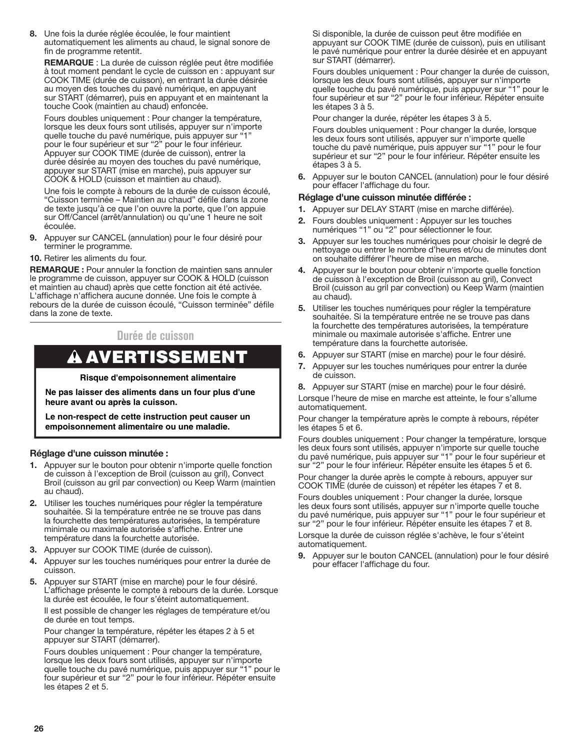<span id="page-25-0"></span>**8.** Une fois la durée réglée écoulée, le four maintient automatiquement les aliments au chaud, le signal sonore de fin de programme retentit.

**REMARQUE** : La durée de cuisson réglée peut être modifiée à tout moment pendant le cycle de cuisson en : appuyant sur COOK TIME (durée de cuisson), en entrant la durée désirée au moyen des touches du pavé numérique, en appuyant sur START (démarrer), puis en appuyant et en maintenant la touche Cook (maintien au chaud) enfoncée.

Fours doubles uniquement : Pour changer la température, lorsque les deux fours sont utilisés, appuyer sur n'importe quelle touche du pavé numérique, puis appuyer sur "1" pour le four supérieur et sur "2" pour le four inférieur. Appuyer sur COOK TIME (durée de cuisson), entrer la durée désirée au moyen des touches du pavé numérique, appuyer sur START (mise en marche), puis appuyer sur COOK & HOLD (cuisson et maintien au chaud).

Une fois le compte à rebours de la durée de cuisson écoulé, "Cuisson terminée – Maintien au chaud" défile dans la zone de texte jusqu'à ce que l'on ouvre la porte, que l'on appuie sur Off/Cancel (arrêt/annulation) ou qu'une 1 heure ne soit écoulée.

- **9.** Appuyer sur CANCEL (annulation) pour le four désiré pour terminer le programme.
- **10.** Retirer les aliments du four.

**REMARQUE :** Pour annuler la fonction de maintien sans annuler le programme de cuisson, appuyer sur COOK & HOLD (cuisson et maintien au chaud) après que cette fonction ait été activée. L'affichage n'affichera aucune donnée. Une fois le compte à rebours de la durée de cuisson écoulé, "Cuisson terminée" défile dans la zone de texte.

# **Durée de cuisson**

# **A AVERTISSEMENT**

#### **Risque d'empoisonnement alimentaire**

**Ne pas laisser des aliments dans un four plus d'une heure avant ou après la cuisson.**

**Le non-respect de cette instruction peut causer un empoisonnement alimentaire ou une maladie.**

#### **Réglage d'une cuisson minutée :**

- **1.** Appuyer sur le bouton pour obtenir n'importe quelle fonction de cuisson à l'exception de Broil (cuisson au gril), Convect Broil (cuisson au gril par convection) ou Keep Warm (maintien au chaud).
- **2.** Utiliser les touches numériques pour régler la température souhaitée. Si la température entrée ne se trouve pas dans la fourchette des températures autorisées, la température minimale ou maximale autorisée s'affiche. Entrer une température dans la fourchette autorisée.
- **3.** Appuyer sur COOK TIME (durée de cuisson).
- **4.** Appuyer sur les touches numériques pour entrer la durée de cuisson.
- **5.** Appuyer sur START (mise en marche) pour le four désiré. L'affichage présente le compte à rebours de la durée. Lorsque la durée est écoulée, le four s'éteint automatiquement. Il est possible de changer les réglages de température et/ou de durée en tout temps.

Pour changer la température, répéter les étapes 2 à 5 et appuyer sur START (démarrer).

Fours doubles uniquement : Pour changer la température, lorsque les deux fours sont utilisés, appuyer sur n'importe quelle touche du pavé numérique, puis appuyer sur "1" pour le four supérieur et sur "2" pour le four inférieur. Répéter ensuite les étapes 2 et 5.

Si disponible, la durée de cuisson peut être modifiée en appuyant sur COOK TIME (durée de cuisson), puis en utilisant le pavé numérique pour entrer la durée désirée et en appuyant sur START (démarrer).

Fours doubles uniquement : Pour changer la durée de cuisson, lorsque les deux fours sont utilisés, appuyer sur n'importe quelle touche du pavé numérique, puis appuyer sur "1" pour le four supérieur et sur "2" pour le four inférieur. Répéter ensuite les étapes 3 à 5.

Pour changer la durée, répéter les étapes 3 à 5.

Fours doubles uniquement : Pour changer la durée, lorsque les deux fours sont utilisés, appuyer sur n'importe quelle touche du pavé numérique, puis appuyer sur "1" pour le four supérieur et sur "2" pour le four inférieur. Répéter ensuite les étapes 3 à 5.

**6.** Appuyer sur le bouton CANCEL (annulation) pour le four désiré pour effacer l'affichage du four.

### **Réglage d'une cuisson minutée différée :**

- **1.** Appuyer sur DELAY START (mise en marche différée).
- **2.** Fours doubles uniquement : Appuyer sur les touches numériques "1" ou "2" pour sélectionner le four.
- **3.** Appuyer sur les touches numériques pour choisir le degré de nettoyage ou entrer le nombre d'heures et/ou de minutes dont on souhaite différer l'heure de mise en marche.
- **4.** Appuyer sur le bouton pour obtenir n'importe quelle fonction de cuisson à l'exception de Broil (cuisson au gril), Convect Broil (cuisson au gril par convection) ou Keep Warm (maintien au chaud).
- **5.** Utiliser les touches numériques pour régler la température souhaitée. Si la température entrée ne se trouve pas dans la fourchette des températures autorisées, la température minimale ou maximale autorisée s'affiche. Entrer une température dans la fourchette autorisée.
- **6.** Appuyer sur START (mise en marche) pour le four désiré.
- **7.** Appuyer sur les touches numériques pour entrer la durée de cuisson.
- **8.** Appuyer sur START (mise en marche) pour le four désiré.

Lorsque l'heure de mise en marche est atteinte, le four s'allume automatiquement.

Pour changer la température après le compte à rebours, répéter les étapes 5 et 6.

Fours doubles uniquement : Pour changer la température, lorsque les deux fours sont utilisés, appuyer n'importe sur quelle touche du pavé numérique, puis appuyer sur "1" pour le four supérieur et sur "2" pour le four inférieur. Répéter ensuite les étapes 5 et 6.

Pour changer la durée après le compte à rebours, appuyer sur COOK TIME (durée de cuisson) et répéter les étapes 7 et 8.

Fours doubles uniquement : Pour changer la durée, lorsque les deux fours sont utilisés, appuyer sur n'importe quelle touche du pavé numérique, puis appuyer sur "1" pour le four supérieur et sur "2" pour le four inférieur. Répéter ensuite les étapes 7 et 8. Lorsque la durée de cuisson réglée s'achève, le four s'éteint automatiquement.

**9.** Appuyer sur le bouton CANCEL (annulation) pour le four désiré pour effacer l'affichage du four.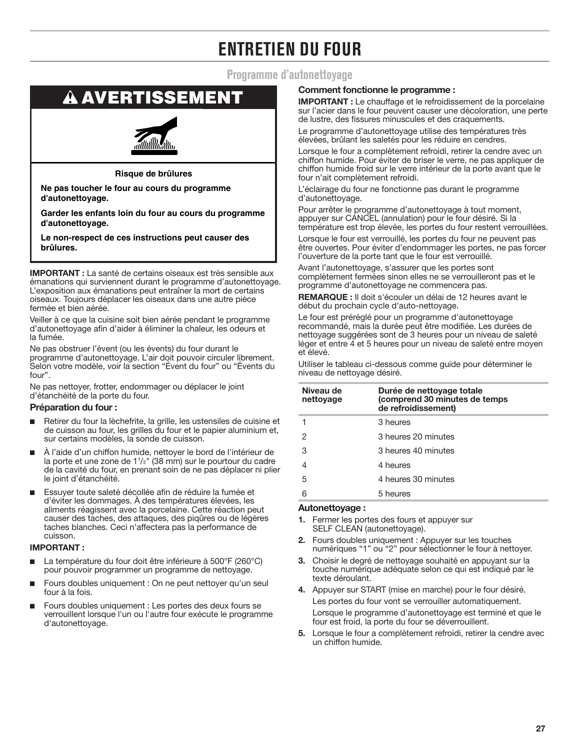# **ENTRETIEN DU FOUR**

# **Programme d'autonettoyage**

# <span id="page-26-0"></span>AVERTISSEMENT

### **Risque de brûlures**

**Ne pas toucher le four au cours du programme d'autonettoyage.**

**Garder les enfants loin du four au cours du programme d'autonettoyage.**

**Le non-respect de ces instructions peut causer des brûlures.**

**IMPORTANT :** La santé de certains oiseaux est très sensible aux émanations qui surviennent durant le programme d'autonettoyage. L'exposition aux émanations peut entraîner la mort de certains oiseaux. Toujours déplacer les oiseaux dans une autre pièce fermée et bien aérée.

Veiller à ce que la cuisine soit bien aérée pendant le programme d'autonettoyage afin d'aider à éliminer la chaleur, les odeurs et la fumée.

Ne pas obstruer l'évent (ou les évents) du four durant le programme d'autonettoyage. L'air doit pouvoir circuler librement. Selon votre modèle, voir la section "Évent du four" ou "Évents du four".

Ne pas nettoyer, frotter, endommager ou déplacer le joint d'étanchéité de la porte du four.

## **Préparation du four :**

- Retirer du four la lèchefrite, la grille, les ustensiles de cuisine et de cuisson au four, les grilles du four et le papier aluminium et, sur certains modèles, la sonde de cuisson.
- À l'aide d'un chiffon humide, nettoyer le bord de l'intérieur de la porte et une zone de 1<sup>1</sup>/<sub>2</sub>" (38 mm) sur le pourtour du cadre de la cavité du four, en prenant soin de ne pas déplacer ni plier le joint d'étanchéité.
- Essuyer toute saleté décollée afin de réduire la fumée et d'éviter les dommages. À des températures élevées, les aliments réagissent avec la porcelaine. Cette réaction peut causer des taches, des attaques, des piqûres ou de légères taches blanches. Ceci n'affectera pas la performance de cuisson.

## **IMPORTANT :**

- La température du four doit être inférieure à 500°F (260°C) pour pouvoir programmer un programme de nettoyage.
- Fours doubles uniquement : On ne peut nettoyer qu'un seul four à la fois.
- Fours doubles uniquement : Les portes des deux fours se verrouillent lorsque l'un ou l'autre four exécute le programme d'autonettoyage.

### **Comment fonctionne le programme :**

**IMPORTANT :** Le chauffage et le refroidissement de la porcelaine sur l'acier dans le four peuvent causer une décoloration, une perte de lustre, des fissures minuscules et des craquements.

Le programme d'autonettoyage utilise des températures très élevées, brûlant les saletés pour les réduire en cendres.

Lorsque le four a complètement refroidi, retirer la cendre avec un chiffon humide. Pour éviter de briser le verre, ne pas appliquer de chiffon humide froid sur le verre intérieur de la porte avant que le four n'ait complètement refroidi.

L'éclairage du four ne fonctionne pas durant le programme d'autonettoyage.

Pour arrêter le programme d'autonettoyage à tout moment, appuyer sur CANCEL (annulation) pour le four désiré. Si la température est trop élevée, les portes du four restent verrouillées.

Lorsque le four est verrouillé, les portes du four ne peuvent pas être ouvertes. Pour éviter d'endommager les portes, ne pas forcer l'ouverture de la porte tant que le four est verrouillé.

Avant l'autonettoyage, s'assurer que les portes sont complètement fermées sinon elles ne se verrouilleront pas et le programme d'autonettoyage ne commencera pas.

**REMARQUE :** Il doit s'écouler un délai de 12 heures avant le début du prochain cycle d'auto-nettoyage.

Le four est préréglé pour un programme d'autonettoyage recommandé, mais la durée peut être modifiée. Les durées de nettoyage suggérées sont de 3 heures pour un niveau de saleté léger et entre 4 et 5 heures pour un niveau de saleté entre moyen et élevé.

Utiliser le tableau ci-dessous comme guide pour déterminer le niveau de nettoyage désiré.

| Niveau de<br>nettoyage | Durée de nettoyage totale<br>(comprend 30 minutes de temps<br>de refroidissement) |  |
|------------------------|-----------------------------------------------------------------------------------|--|
|                        | 3 heures                                                                          |  |
| 2                      | 3 heures 20 minutes                                                               |  |
| 3                      | 3 heures 40 minutes                                                               |  |
| 4                      | 4 heures                                                                          |  |
| 5                      | 4 heures 30 minutes                                                               |  |
| 6                      | 5 heures                                                                          |  |

#### **Autonettoyage :**

- **1.** Fermer les portes des fours et appuyer sur SELF CLEAN (autonettoyage).
- **2.** Fours doubles uniquement : Appuyer sur les touches numériques "1" ou "2" pour sélectionner le four à nettoyer.
- **3.** Choisir le degré de nettoyage souhaité en appuyant sur la touche numérique adéquate selon ce qui est indiqué par le texte déroulant.
- **4.** Appuyer sur START (mise en marche) pour le four désiré. Les portes du four vont se verrouiller automatiquement. Lorsque le programme d'autonettoyage est terminé et que le four est froid, la porte du four se déverrouillent.
- **5.** Lorsque le four a complètement refroidi, retirer la cendre avec un chiffon humide.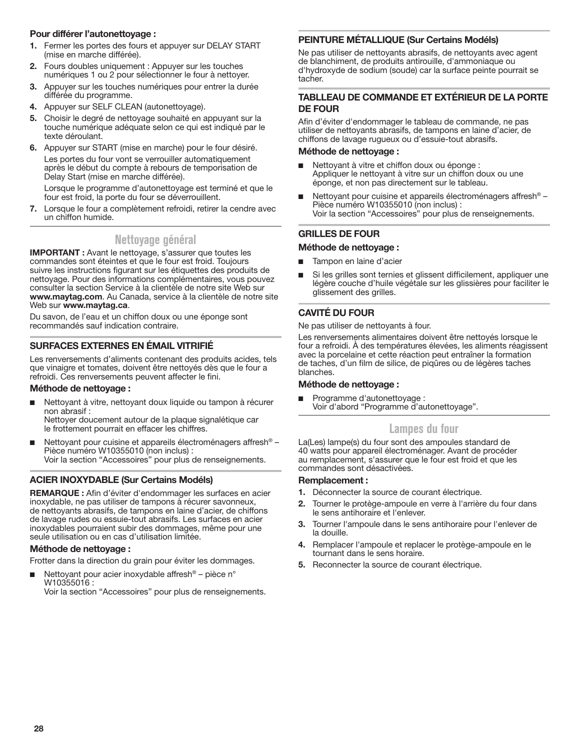## <span id="page-27-0"></span>**Pour différer l'autonettoyage :**

- **1.** Fermer les portes des fours et appuyer sur DELAY START (mise en marche différée).
- **2.** Fours doubles uniquement : Appuyer sur les touches numériques 1 ou 2 pour sélectionner le four à nettoyer.
- **3.** Appuyer sur les touches numériques pour entrer la durée différée du programme.
- **4.** Appuyer sur SELF CLEAN (autonettoyage).
- **5.** Choisir le degré de nettoyage souhaité en appuyant sur la touche numérique adéquate selon ce qui est indiqué par le texte déroulant.
- **6.** Appuyer sur START (mise en marche) pour le four désiré. Les portes du four vont se verrouiller automatiquement après le début du compte à rebours de temporisation de Delay Start (mise en marche différée).

Lorsque le programme d'autonettoyage est terminé et que le four est froid, la porte du four se déverrouillent.

**7.** Lorsque le four a complètement refroidi, retirer la cendre avec un chiffon humide.

# **Nettoyage général**

**IMPORTANT :** Avant le nettoyage, s'assurer que toutes les commandes sont éteintes et que le four est froid. Toujours suivre les instructions figurant sur les étiquettes des produits de nettoyage. Pour des informations complémentaires, vous pouvez consulter la section Service à la clientèle de notre site Web sur **www.maytag.com**. Au Canada, service à la clientèle de notre site Web sur **www.maytag.ca**.

Du savon, de l'eau et un chiffon doux ou une éponge sont recommandés sauf indication contraire.

# **SURFACES EXTERNES EN ÉMAIL VITRIFIÉ**

Les renversements d'aliments contenant des produits acides, tels que vinaigre et tomates, doivent être nettoyés dès que le four a refroidi. Ces renversements peuvent affecter le fini.

#### **Méthode de nettoyage :**

■ Nettoyant à vitre, nettoyant doux liquide ou tampon à récurer non abrasif : Nettoyer doucement autour de la plaque signalétique car

le frottement pourrait en effacer les chiffres.

Nettoyant pour cuisine et appareils électroménagers affresh<sup>®</sup> – Pièce numéro W10355010 (non inclus) : Voir la section "Accessoires" pour plus de renseignements.

## **ACIER INOXYDABLE (Sur Certains Modéls)**

**REMARQUE :** Afin d'éviter d'endommager les surfaces en acier inoxydable, ne pas utiliser de tampons à récurer savonneux, de nettoyants abrasifs, de tampons en laine d'acier, de chiffons de lavage rudes ou essuie-tout abrasifs. Les surfaces en acier inoxydables pourraient subir des dommages, même pour une seule utilisation ou en cas d'utilisation limitée.

#### **Méthode de nettoyage :**

Frotter dans la direction du grain pour éviter les dommages.

Nettoyant pour acier inoxydable affresh<sup>®</sup> – pièce n° W10355016 :

Voir la section "Accessoires" pour plus de renseignements.

## **PEINTURE MÉTALLIQUE (Sur Certains Modéls)**

Ne pas utiliser de nettoyants abrasifs, de nettoyants avec agent de blanchiment, de produits antirouille, d'ammoniaque ou d'hydroxyde de sodium (soude) car la surface peinte pourrait se tacher.

### **TABLLEAU DE COMMANDE ET EXTÉRIEUR DE LA PORTE DE FOUR**

Afin d'éviter d'endommager le tableau de commande, ne pas utiliser de nettoyants abrasifs, de tampons en laine d'acier, de chiffons de lavage rugueux ou d'essuie-tout abrasifs.

#### **Méthode de nettoyage :**

- Nettoyant à vitre et chiffon doux ou éponge : Appliquer le nettoyant à vitre sur un chiffon doux ou une éponge, et non pas directement sur le tableau.
- Nettoyant pour cuisine et appareils électroménagers affresh<sup>®</sup> Pièce numéro W10355010 (non inclus) : Voir la section "Accessoires" pour plus de renseignements.

# **GRILLES DE FOUR**

#### **Méthode de nettoyage :**

- Tampon en laine d'acier
- Si les grilles sont ternies et glissent difficilement, appliquer une légère couche d'huile végétale sur les glissières pour faciliter le glissement des grilles.

# **CAVITÉ DU FOUR**

Ne pas utiliser de nettoyants à four.

Les renversements alimentaires doivent être nettoyés lorsque le four a refroidi. À des températures élevées, les aliments réagissent avec la porcelaine et cette réaction peut entraîner la formation de taches, d'un film de silice, de piqûres ou de légères taches blanches.

#### **Méthode de nettoyage :**

■ Programme d'autonettoyage : Voir d'abord "Programme d'autonettoyage".

# **Lampes du four**

La(Les) lampe(s) du four sont des ampoules standard de 40 watts pour appareil électroménager. Avant de procéder au remplacement, s'assurer que le four est froid et que les commandes sont désactivées.

#### **Remplacement :**

- **1.** Déconnecter la source de courant électrique.
- **2.** Tourner le protège-ampoule en verre à l'arrière du four dans le sens antihoraire et l'enlever.
- **3.** Tourner l'ampoule dans le sens antihoraire pour l'enlever de la douille.
- **4.** Remplacer l'ampoule et replacer le protège-ampoule en le tournant dans le sens horaire.
- **5.** Reconnecter la source de courant électrique.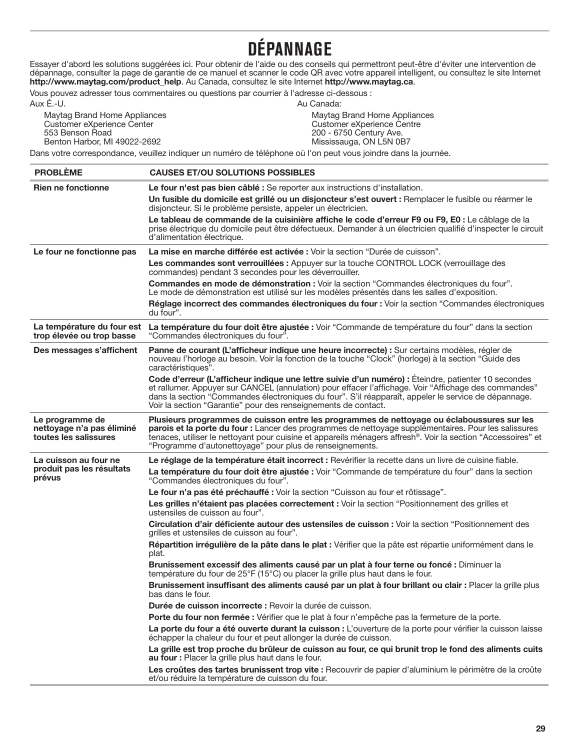# **DÉPANNAGE**

<span id="page-28-0"></span>Essayer d'abord les solutions suggérées ici. Pour obtenir de l'aide ou des conseils qui permettront peut-être d'éviter une intervention de dépannage, consulter la page de garantie de ce manuel et scanner le code QR avec votre appareil intelligent, ou consultez le site Internet **http://www.maytag.com/product\_help**. Au Canada, consultez le site Internet **http://www.maytag.ca**.

Vous pouvez adresser tous commentaires ou questions par courrier à l'adresse ci-dessous : Aux É.-U. Au Canada:

Maytag Brand Home Appliances Customer eXperience Center 553 Benson Road Benton Harbor, MI 49022-2692

Maytag Brand Home Appliances Customer eXperience Centre 200 - 6750 Century Ave. Mississauga, ON L5N 0B7

Dans votre correspondance, veuillez indiquer un numéro de téléphone où l'on peut vous joindre dans la journée.

| <b>PROBLÈME</b>                                                       | <b>CAUSES ET/OU SOLUTIONS POSSIBLES</b>                                                                                                                                                                                                                                                                                                                                                     |
|-----------------------------------------------------------------------|---------------------------------------------------------------------------------------------------------------------------------------------------------------------------------------------------------------------------------------------------------------------------------------------------------------------------------------------------------------------------------------------|
| <b>Rien ne fonctionne</b>                                             | Le four n'est pas bien câblé : Se reporter aux instructions d'installation.                                                                                                                                                                                                                                                                                                                 |
|                                                                       | Un fusible du domicile est grillé ou un disjoncteur s'est ouvert : Remplacer le fusible ou réarmer le<br>disjoncteur. Si le problème persiste, appeler un électricien.                                                                                                                                                                                                                      |
|                                                                       | Le tableau de commande de la cuisinière affiche le code d'erreur F9 ou F9, E0 : Le câblage de la<br>prise électrique du domicile peut être défectueux. Demander à un électricien qualifié d'inspecter le circuit<br>d'alimentation électrique.                                                                                                                                              |
| Le four ne fonctionne pas                                             | La mise en marche différée est activée : Voir la section "Durée de cuisson".                                                                                                                                                                                                                                                                                                                |
|                                                                       | Les commandes sont verrouillées : Appuyer sur la touche CONTROL LOCK (verrouillage des<br>commandes) pendant 3 secondes pour les déverrouiller.                                                                                                                                                                                                                                             |
|                                                                       | Commandes en mode de démonstration : Voir la section "Commandes électroniques du four".<br>Le mode de démonstration est utilisé sur les modèles présentés dans les salles d'exposition.                                                                                                                                                                                                     |
|                                                                       | Réglage incorrect des commandes électroniques du four : Voir la section "Commandes électroniques<br>du four".                                                                                                                                                                                                                                                                               |
| La température du four est<br>trop élevée ou trop basse               | La température du four doit être ajustée : Voir "Commande de température du four" dans la section<br>"Commandes électroniques du four".                                                                                                                                                                                                                                                     |
| Des messages s'affichent                                              | Panne de courant (L'afficheur indique une heure incorrecte) : Sur certains modèles, régler de<br>nouveau l'horloge au besoin. Voir la fonction de la touche "Clock" (horloge) à la section "Guide des<br>caractéristiques".                                                                                                                                                                 |
|                                                                       | Code d'erreur (L'afficheur indique une lettre suivie d'un numéro) : Éteindre, patienter 10 secondes<br>et rallumer. Appuyer sur CANCEL (annulation) pour effacer l'affichage. Voir "Affichage des commandes"<br>dans la section "Commandes électroniques du four". S'il réapparaît, appeler le service de dépannage.<br>Voir la section "Garantie" pour des renseignements de contact.      |
| Le programme de<br>nettoyage n'a pas éliminé<br>toutes les salissures | Plusieurs programmes de cuisson entre les programmes de nettoyage ou éclaboussures sur les<br>parois et la porte du four : Lancer des programmes de nettoyage supplémentaires. Pour les salissures<br>tenaces, utiliser le nettoyant pour cuisine et appareils ménagers affresh <sup>®</sup> . Voir la section "Accessoires" et<br>"Programme d'autonettoyage" pour plus de renseignements. |
| La cuisson au four ne                                                 | Le réglage de la température était incorrect : Revérifier la recette dans un livre de cuisine fiable.                                                                                                                                                                                                                                                                                       |
| produit pas les résultats<br>prévus                                   | La température du four doit être ajustée : Voir "Commande de température du four" dans la section<br>"Commandes électroniques du four".                                                                                                                                                                                                                                                     |
|                                                                       | Le four n'a pas été préchauffé : Voir la section "Cuisson au four et rôtissage".                                                                                                                                                                                                                                                                                                            |
|                                                                       | Les grilles n'étaient pas placées correctement : Voir la section "Positionnement des grilles et<br>ustensiles de cuisson au four".                                                                                                                                                                                                                                                          |
|                                                                       | Circulation d'air déficiente autour des ustensiles de cuisson : Voir la section "Positionnement des<br>grilles et ustensiles de cuisson au four".                                                                                                                                                                                                                                           |
|                                                                       | Répartition irrégulière de la pâte dans le plat : Vérifier que la pâte est répartie uniformément dans le<br>plat.                                                                                                                                                                                                                                                                           |
|                                                                       | Brunissement excessif des aliments causé par un plat à four terne ou foncé : Diminuer la<br>température du four de 25°F (15°C) ou placer la grille plus haut dans le four.                                                                                                                                                                                                                  |
|                                                                       | Brunissement insuffisant des aliments causé par un plat à four brillant ou clair : Placer la grille plus<br>bas dans le tour.                                                                                                                                                                                                                                                               |
|                                                                       | <b>Durée de cuisson incorrecte :</b> Revoir la durée de cuisson.                                                                                                                                                                                                                                                                                                                            |
|                                                                       | Porte du four non fermée : Vérifier que le plat à four n'empêche pas la fermeture de la porte.                                                                                                                                                                                                                                                                                              |
|                                                                       | La porte du four a été ouverte durant la cuisson : L'ouverture de la porte pour vérifier la cuisson laisse<br>échapper la chaleur du four et peut allonger la durée de cuisson.                                                                                                                                                                                                             |
|                                                                       | La grille est trop proche du brûleur de cuisson au four, ce qui brunit trop le fond des aliments cuits<br>au four : Placer la grille plus haut dans le four.                                                                                                                                                                                                                                |
|                                                                       | Les croûtes des tartes brunissent trop vite : Recouvrir de papier d'aluminium le périmètre de la croûte<br>et/ou réduire la température de cuisson du four.                                                                                                                                                                                                                                 |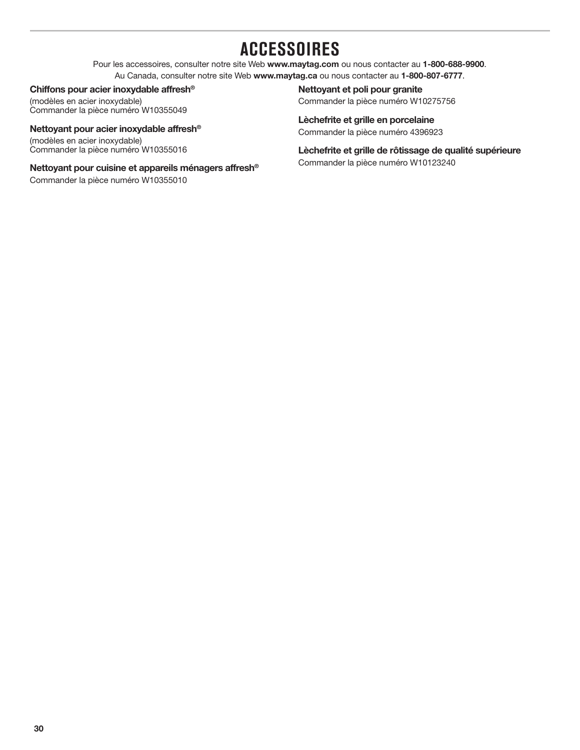# **ACCESSOIRES**

Pour les accessoires, consulter notre site Web **www.maytag.com** ou nous contacter au **1-800-688-9900**. Au Canada, consulter notre site Web **www.maytag.ca** ou nous contacter au **1-800-807-6777**.

### <span id="page-29-0"></span>**Chiffons pour acier inoxydable affresh®**

(modèles en acier inoxydable) Commander la pièce numéro W10355049

# **Nettoyant pour acier inoxydable affresh®**

(modèles en acier inoxydable) Commander la pièce numéro W10355016

# **Nettoyant pour cuisine et appareils ménagers affresh®**

Commander la pièce numéro W10355010

# **Nettoyant et poli pour granite** Commander la pièce numéro W10275756

**Lèchefrite et grille en porcelaine** Commander la pièce numéro 4396923

**Lèchefrite et grille de rôtissage de qualité supérieure** Commander la pièce numéro W10123240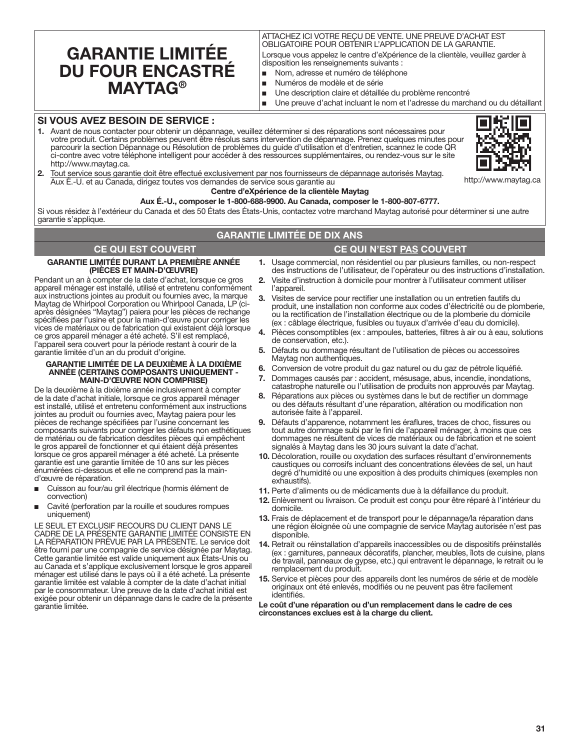# <span id="page-30-0"></span>**GARANTIE LIMITÉE DU FOUR ENCASTRÉ MAYTAG®**

## ATTACHEZ ICI VOTRE REÇU DE VENTE. UNE PREUVE D'ACHAT EST OBLIGATOIRE POUR OBTENIR L'APPLICATION DE LA GARANTIE.

Lorsque vous appelez le centre d'eXpérience de la clientèle, veuillez garder à disposition les renseignements suivants :

- Nom, adresse et numéro de téléphone
- Numéros de modèle et de série
- Une description claire et détaillée du problème rencontré
- Une preuve d'achat incluant le nom et l'adresse du marchand ou du détaillant

## **SI VOUS AVEZ BESOIN DE SERVICE :**

**1.** Avant de nous contacter pour obtenir un dépannage, veuillez déterminer si des réparations sont nécessaires pour votre produit. Certains problèmes peuvent être résolus sans intervention de dépannage. Prenez quelques minutes pour parcourir la section Dépannage ou Résolution de problèmes du guide d'utilisation et d'entretien, scannez le code QR ci-contre avec votre téléphone intelligent pour accéder à des ressources supplémentaires, ou rendez-vous sur le site http://www.maytag.ca.



http://www.maytag.ca

**2.** Tout service sous garantie doit être effectué exclusivement par nos fournisseurs de dépannage autorisés Maytag. Aux É.-U. et au Canada, dirigez toutes vos demandes de service sous garantie au

#### **Centre d'eXpérience de la clientèle Maytag**

**Aux É.-U., composer le 1-800-688-9900. Au Canada, composer le 1-800-807-6777.**

Si vous résidez à l'extérieur du Canada et des 50 États des États-Unis, contactez votre marchand Maytag autorisé pour déterminer si une autre garantie s'applique.

# **GARANTIE LIMITÉE DE DIX ANS**

# **CE QUI EST COUVERT CE QUI N'EST PAS COUVERT**

# **GARANTIE LIMITÉE DURANT LA PREMIÈRE ANNÉE**

**(PIÈCES ET MAIN-D'ŒUVRE)** Pendant un an à compter de la date d'achat, lorsque ce gros appareil ménager est installé, utilisé et entretenu conformément aux instructions jointes au produit ou fournies avec, la marque Maytag de Whirlpool Corporation ou Whirlpool Canada, LP (ciaprès désignées "Maytag") paiera pour les pièces de rechange spécifiées par l'usine et pour la main-d'œuvre pour corriger les vices de matériaux ou de fabrication qui existaient déjà lorsque ce gros appareil ménager a été acheté. S'il est remplacé, l'appareil sera couvert pour la période restant à courir de la garantie limitée d'un an du produit d'origine.

#### **GARANTIE LIMITÉE DE LA DEUXIÈME À LA DIXIÈME ANNÉE (CERTAINS COMPOSANTS UNIQUEMENT - MAIN-D'ŒUVRE NON COMPRISE)**

De la deuxième à la dixième année inclusivement à compter de la date d'achat initiale, lorsque ce gros appareil ménager est installé, utilisé et entretenu conformément aux instructions jointes au produit ou fournies avec, Maytag paiera pour les pièces de rechange spécifiées par l'usine concernant les composants suivants pour corriger les défauts non esthétiques de matériau ou de fabrication desdites pièces qui empêchent le gros appareil de fonctionner et qui étaient déjà présentes lorsque ce gros appareil ménager a été acheté. La présente garantie est une garantie limitée de 10 ans sur les pièces énumérées ci-dessous et elle ne comprend pas la maind'œuvre de réparation.

- Cuisson au four/au gril électrique (hormis élément de convection)
- Cavité (perforation par la rouille et soudures rompues uniquement)

LE SEUL ET EXCLUSIF RECOURS DU CLIENT DANS LE CADRE DE LA PRÉSENTE GARANTIE LIMITÉE CONSISTE EN LA RÉPARATION PRÉVUE PAR LA PRÉSENTE. Le service doit être fourni par une compagnie de service désignée par Maytag. Cette garantie limitée est valide uniquement aux États-Unis ou au Canada et s'applique exclusivement lorsque le gros appareil ménager est utilisé dans le pays où il a été acheté. La présente garantie limitée est valable à compter de la date d'achat initial par le consommateur. Une preuve de la date d'achat initial est exigée pour obtenir un dépannage dans le cadre de la présente garantie limitée.

- **1.** Usage commercial, non résidentiel ou par plusieurs familles, ou non-respect des instructions de l'utilisateur, de l'opérateur ou des instructions d'installation.
- **2.** Visite d'instruction à domicile pour montrer à l'utilisateur comment utiliser l'appareil.
- **3.** Visites de service pour rectifier une installation ou un entretien fautifs du produit, une installation non conforme aux codes d'électricité ou de plomberie, ou la rectification de l'installation électrique ou de la plomberie du domicile (ex : câblage électrique, fusibles ou tuyaux d'arrivée d'eau du domicile).
- **4.** Pièces consomptibles (ex : ampoules, batteries, filtres à air ou à eau, solutions de conservation, etc.).
- **5.** Défauts ou dommage résultant de l'utilisation de pièces ou accessoires Maytag non authentiques.
- **6.** Conversion de votre produit du gaz naturel ou du gaz de pétrole liquéfié.
- **7.** Dommages causés par : accident, mésusage, abus, incendie, inondations, catastrophe naturelle ou l'utilisation de produits non approuvés par Maytag.
- **8.** Réparations aux pièces ou systèmes dans le but de rectifier un dommage ou des défauts résultant d'une réparation, altération ou modification non autorisée faite à l'appareil.
- **9.** Défauts d'apparence, notamment les éraflures, traces de choc, fissures ou tout autre dommage subi par le fini de l'appareil ménager, à moins que ces dommages ne résultent de vices de matériaux ou de fabrication et ne soient signalés à Maytag dans les 30 jours suivant la date d'achat.
- **10.** Décoloration, rouille ou oxydation des surfaces résultant d'environnements caustiques ou corrosifs incluant des concentrations élevées de sel, un haut degré d'humidité ou une exposition à des produits chimiques (exemples non exhaustifs).
- **11.** Perte d'aliments ou de médicaments due à la défaillance du produit.
- **12.** Enlèvement ou livraison. Ce produit est conçu pour être réparé à l'intérieur du domicile.
- **13.** Frais de déplacement et de transport pour le dépannage/la réparation dans une région éloignée où une compagnie de service Maytag autorisée n'est pas disponible.
- **14.** Retrait ou réinstallation d'appareils inaccessibles ou de dispositifs préinstallés (ex : garnitures, panneaux décoratifs, plancher, meubles, îlots de cuisine, plans de travail, panneaux de gypse, etc.) qui entravent le dépannage, le retrait ou le remplacement du produit.
- **15.** Service et pièces pour des appareils dont les numéros de série et de modèle originaux ont été enlevés, modifiés ou ne peuvent pas être facilement identifiés.

**Le coût d'une réparation ou d'un remplacement dans le cadre de ces circonstances exclues est à la charge du client.**